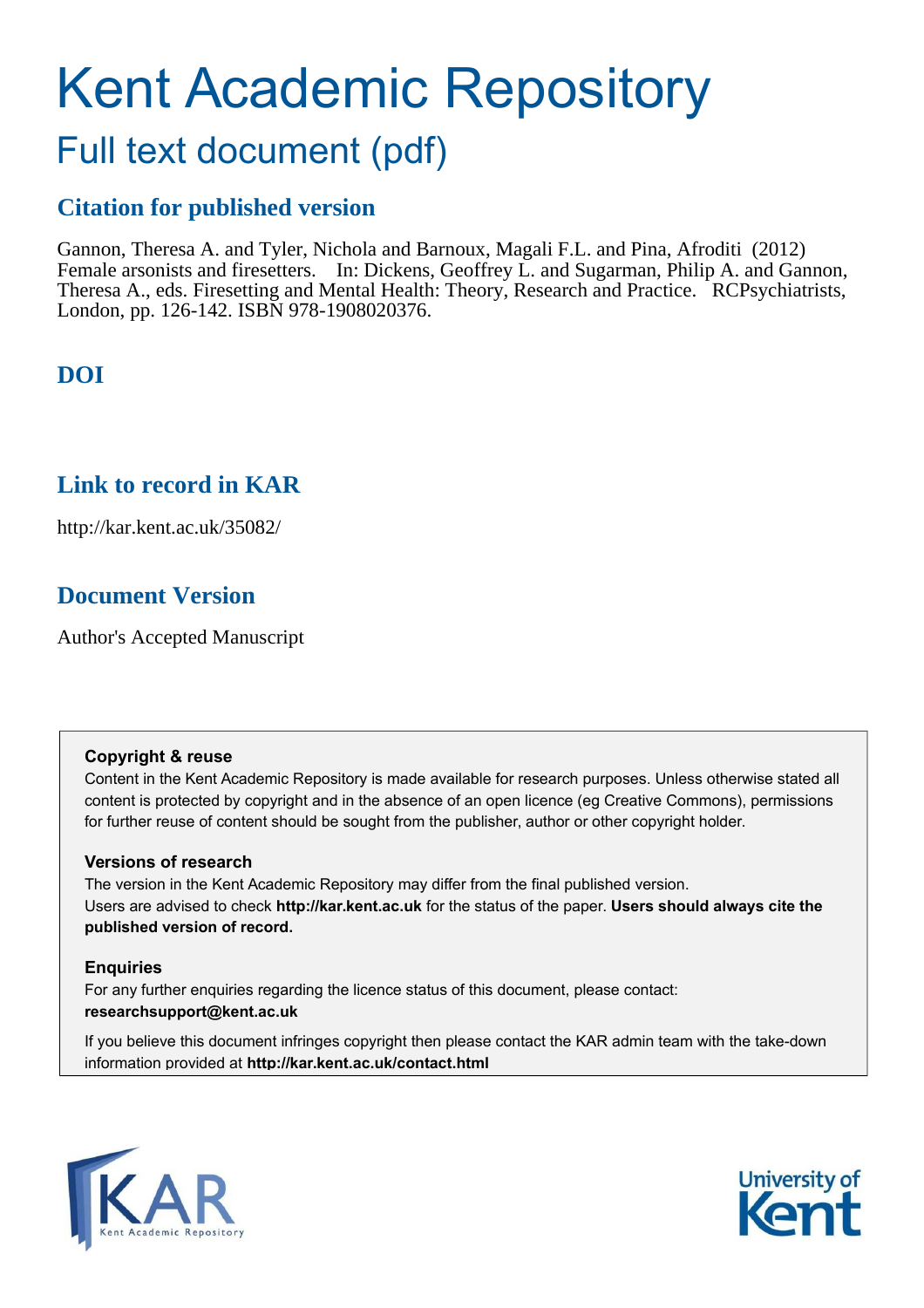# Kent Academic Repository

## Full text document (pdf)

### **Citation for published version**

Gannon, Theresa A. and Tyler, Nichola and Barnoux, Magali F.L. and Pina, Afroditi (2012) Female arsonists and firesetters. In: Dickens, Geoffrey L. and Sugarman, Philip A. and Gannon, Theresa A., eds. Firesetting and Mental Health: Theory, Research and Practice. RCPsychiatrists, London, pp. 126-142. ISBN 978-1908020376.

## **DOI**

## **Link to record in KAR**

http://kar.kent.ac.uk/35082/

## **Document Version**

Author's Accepted Manuscript

#### **Copyright & reuse**

Content in the Kent Academic Repository is made available for research purposes. Unless otherwise stated all content is protected by copyright and in the absence of an open licence (eg Creative Commons), permissions for further reuse of content should be sought from the publisher, author or other copyright holder.

#### **Versions of research**

The version in the Kent Academic Repository may differ from the final published version. Users are advised to check **http://kar.kent.ac.uk** for the status of the paper. **Users should always cite the published version of record.**

#### **Enquiries**

For any further enquiries regarding the licence status of this document, please contact: **researchsupport@kent.ac.uk**

If you believe this document infringes copyright then please contact the KAR admin team with the take-down information provided at **http://kar.kent.ac.uk/contact.html**



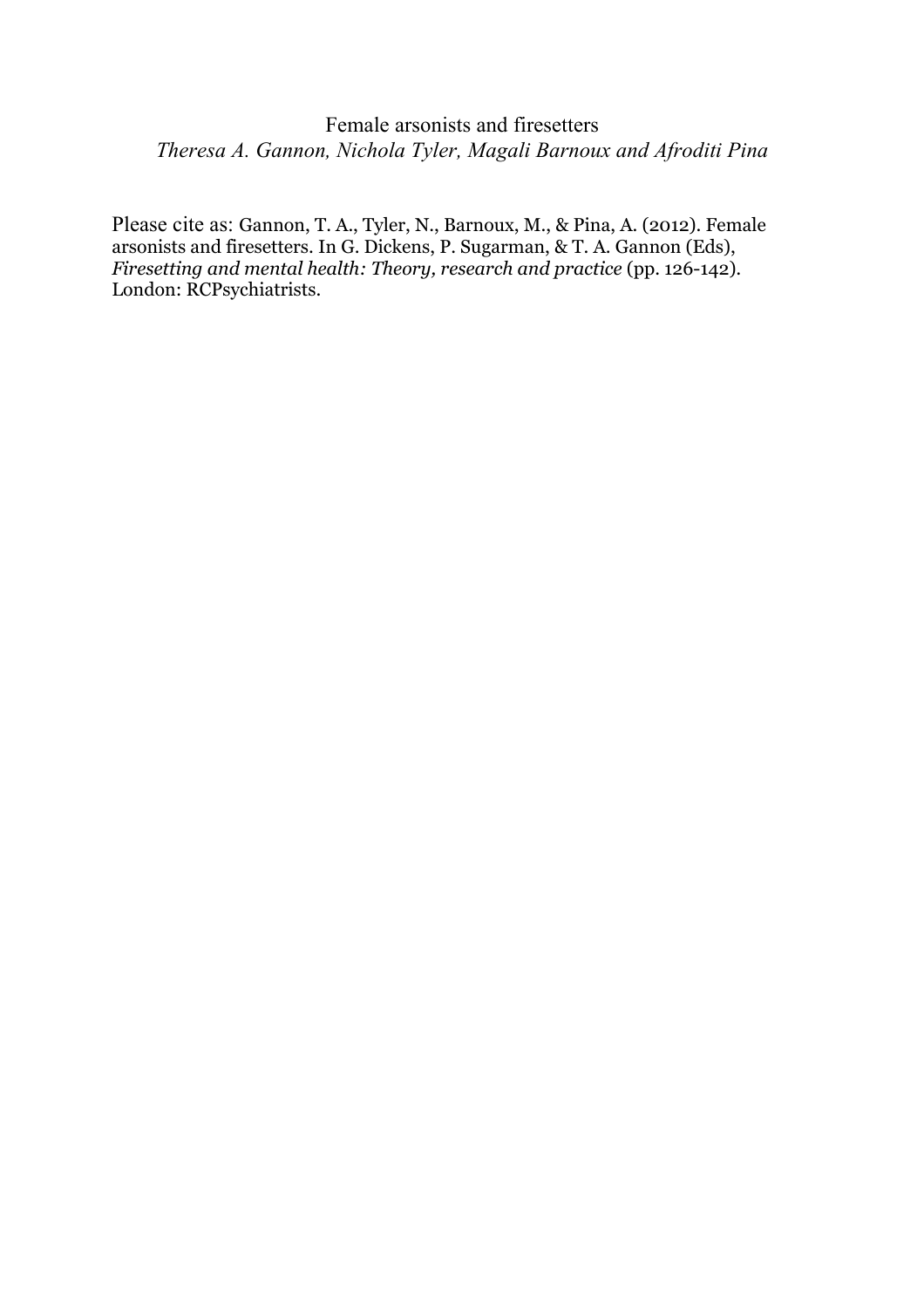#### Female arsonists and firesetters *Theresa A. Gannon, Nichola Tyler, Magali Barnoux and Afroditi Pina*

Please cite as: Gannon, T. A., Tyler, N., Barnoux, M., & Pina, A. (2012). Female arsonists and firesetters. In G. Dickens, P. Sugarman, & T. A. Gannon (Eds), *Firesetting and mental health: Theory, research and practice* (pp. 126-142)*.* London: RCPsychiatrists.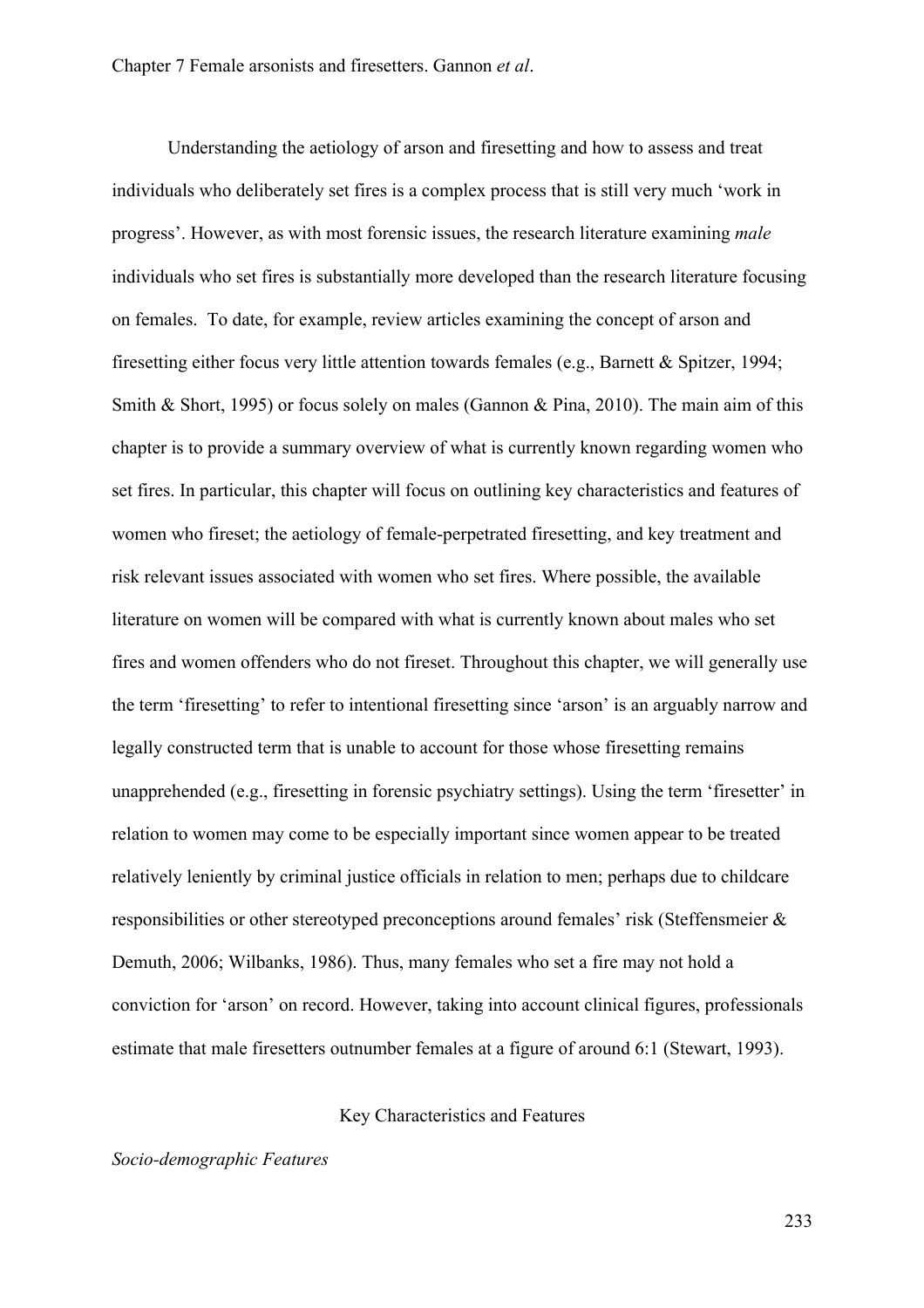Understanding the aetiology of arson and firesetting and how to assess and treat individuals who deliberately set fires is a complex process that is still very much 'work in progress'. However, as with most forensic issues, the research literature examining *male* individuals who set fires is substantially more developed than the research literature focusing on females. To date, for example, review articles examining the concept of arson and firesetting either focus very little attention towards females (e.g., Barnett & Spitzer, 1994; Smith & Short, 1995) or focus solely on males (Gannon & Pina, 2010). The main aim of this chapter is to provide a summary overview of what is currently known regarding women who set fires. In particular, this chapter will focus on outlining key characteristics and features of women who fireset; the aetiology of female-perpetrated firesetting, and key treatment and risk relevant issues associated with women who set fires. Where possible, the available literature on women will be compared with what is currently known about males who set fires and women offenders who do not fireset. Throughout this chapter, we will generally use the term 'firesetting' to refer to intentional firesetting since 'arson' is an arguably narrow and legally constructed term that is unable to account for those whose firesetting remains unapprehended (e.g., firesetting in forensic psychiatry settings). Using the term 'firesetter' in relation to women may come to be especially important since women appear to be treated relatively leniently by criminal justice officials in relation to men; perhaps due to childcare responsibilities or other stereotyped preconceptions around females' risk (Steffensmeier & Demuth, 2006; Wilbanks, 1986). Thus, many females who set a fire may not hold a conviction for 'arson' on record. However, taking into account clinical figures, professionals estimate that male firesetters outnumber females at a figure of around 6:1 (Stewart, 1993).

#### Key Characteristics and Features

#### *Socio-demographic Features*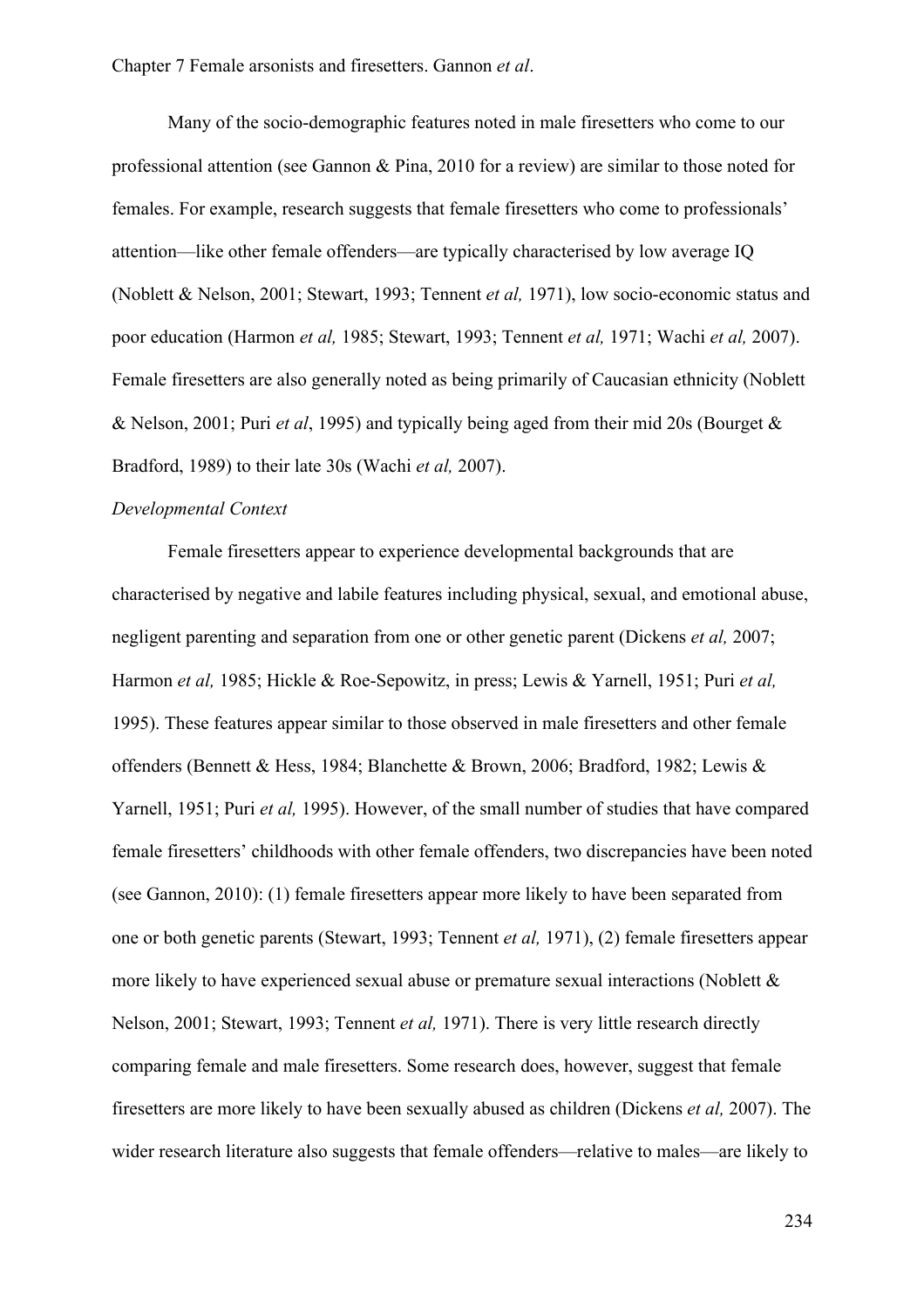Many of the socio-demographic features noted in male firesetters who come to our professional attention (see Gannon & Pina, 2010 for a review) are similar to those noted for females. For example, research suggests that female firesetters who come to professionals' attention—like other female offenders—are typically characterised by low average IQ (Noblett & Nelson, 2001; Stewart, 1993; Tennent *et al,* 1971), low socio-economic status and poor education (Harmon *et al,* 1985; Stewart, 1993; Tennent *et al,* 1971; Wachi *et al,* 2007). Female firesetters are also generally noted as being primarily of Caucasian ethnicity (Noblett & Nelson, 2001; Puri *et al*, 1995) and typically being aged from their mid 20s (Bourget & Bradford, 1989) to their late 30s (Wachi *et al,* 2007).

#### *Developmental Context*

Female firesetters appear to experience developmental backgrounds that are characterised by negative and labile features including physical, sexual, and emotional abuse, negligent parenting and separation from one or other genetic parent (Dickens *et al,* 2007; Harmon *et al,* 1985; Hickle & Roe-Sepowitz, in press; Lewis & Yarnell, 1951; Puri *et al,* 1995). These features appear similar to those observed in male firesetters and other female offenders (Bennett & Hess, 1984; Blanchette & Brown, 2006; Bradford, 1982; Lewis & Yarnell, 1951; Puri *et al,* 1995). However, of the small number of studies that have compared female firesetters' childhoods with other female offenders, two discrepancies have been noted (see Gannon, 2010): (1) female firesetters appear more likely to have been separated from one or both genetic parents (Stewart, 1993; Tennent *et al,* 1971), (2) female firesetters appear more likely to have experienced sexual abuse or premature sexual interactions (Noblett & Nelson, 2001; Stewart, 1993; Tennent *et al,* 1971). There is very little research directly comparing female and male firesetters. Some research does, however, suggest that female firesetters are more likely to have been sexually abused as children (Dickens *et al,* 2007). The wider research literature also suggests that female offenders—relative to males—are likely to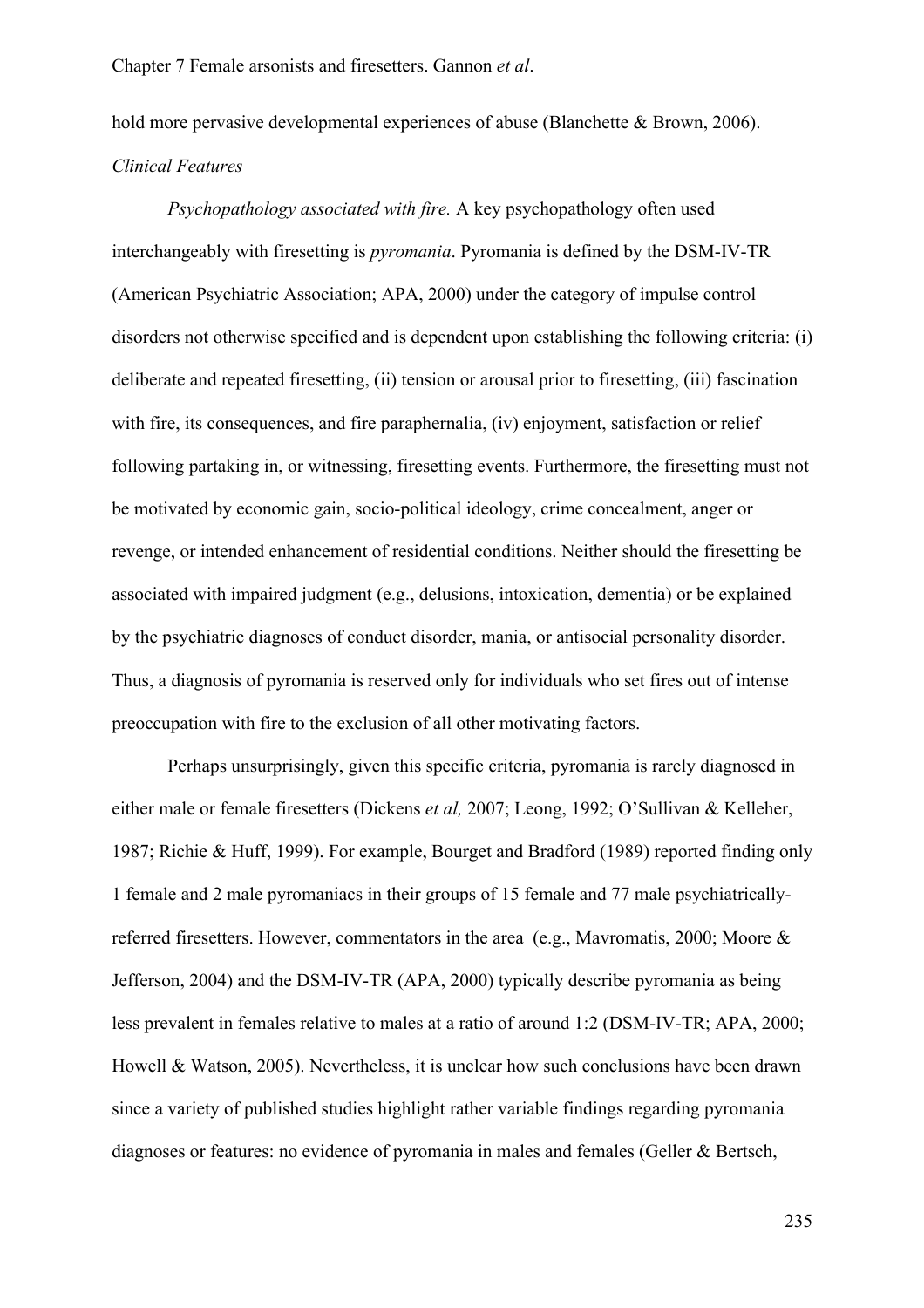hold more pervasive developmental experiences of abuse (Blanchette & Brown, 2006). *Clinical Features*

*Psychopathology associated with fire.* A key psychopathology often used interchangeably with firesetting is *pyromania*. Pyromania is defined by the DSM-IV-TR (American Psychiatric Association; APA, 2000) under the category of impulse control disorders not otherwise specified and is dependent upon establishing the following criteria: (i) deliberate and repeated firesetting, (ii) tension or arousal prior to firesetting, (iii) fascination with fire, its consequences, and fire paraphernalia, (iv) enjoyment, satisfaction or relief following partaking in, or witnessing, firesetting events. Furthermore, the firesetting must not be motivated by economic gain, socio-political ideology, crime concealment, anger or revenge, or intended enhancement of residential conditions. Neither should the firesetting be associated with impaired judgment (e.g., delusions, intoxication, dementia) or be explained by the psychiatric diagnoses of conduct disorder, mania, or antisocial personality disorder. Thus, a diagnosis of pyromania is reserved only for individuals who set fires out of intense preoccupation with fire to the exclusion of all other motivating factors.

Perhaps unsurprisingly, given this specific criteria, pyromania is rarely diagnosed in either male or female firesetters (Dickens *et al,* 2007; Leong, 1992; O'Sullivan & Kelleher, 1987; Richie & Huff, 1999). For example, Bourget and Bradford (1989) reported finding only 1 female and 2 male pyromaniacs in their groups of 15 female and 77 male psychiatricallyreferred firesetters. However, commentators in the area (e.g., Mavromatis, 2000; Moore & Jefferson, 2004) and the DSM-IV-TR (APA, 2000) typically describe pyromania as being less prevalent in females relative to males at a ratio of around 1:2 (DSM-IV-TR; APA, 2000; Howell & Watson, 2005). Nevertheless, it is unclear how such conclusions have been drawn since a variety of published studies highlight rather variable findings regarding pyromania diagnoses or features: no evidence of pyromania in males and females (Geller & Bertsch,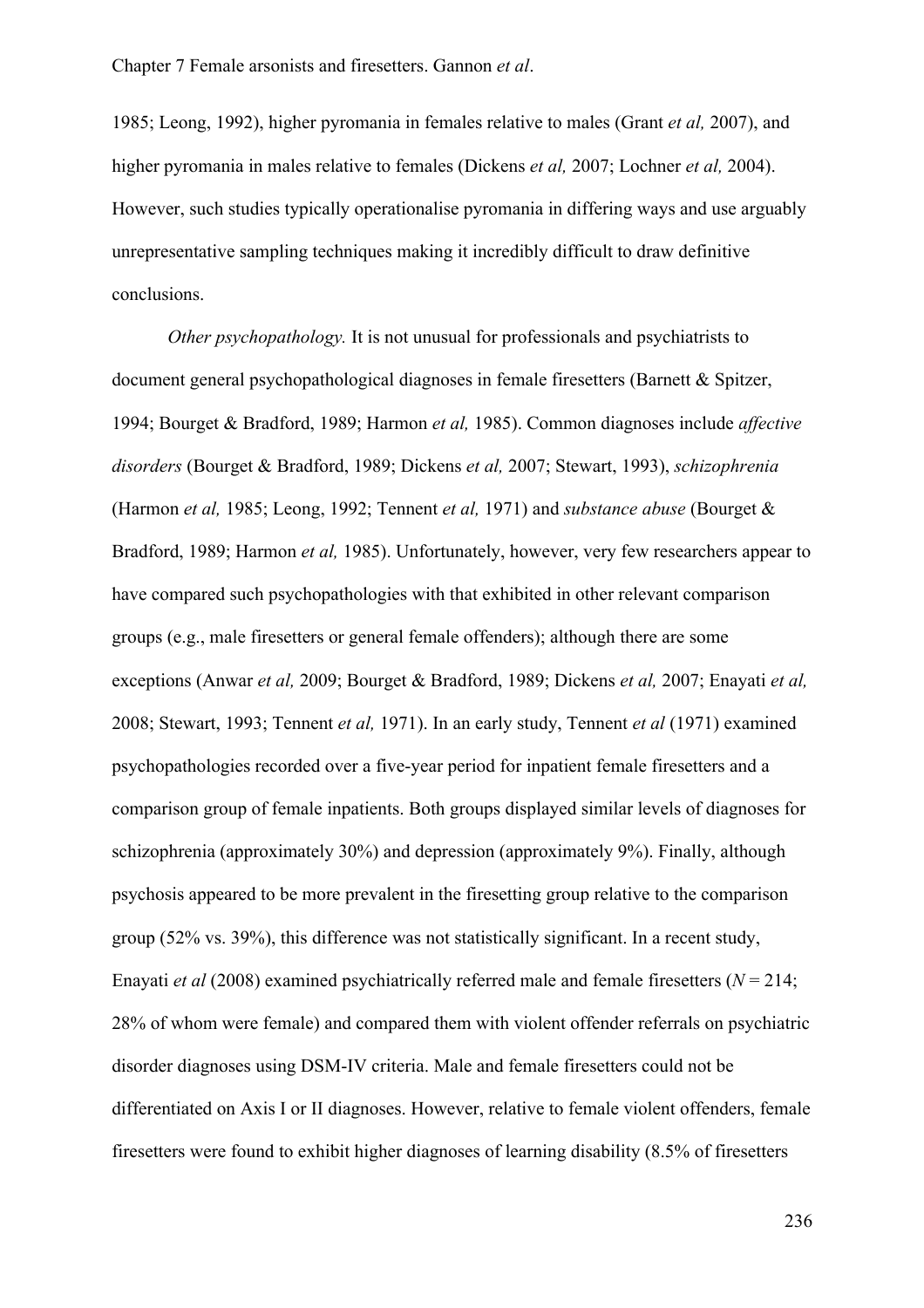1985; Leong, 1992), higher pyromania in females relative to males (Grant *et al,* 2007), and higher pyromania in males relative to females (Dickens *et al,* 2007; Lochner *et al,* 2004). However, such studies typically operationalise pyromania in differing ways and use arguably unrepresentative sampling techniques making it incredibly difficult to draw definitive conclusions.

*Other psychopathology.* It is not unusual for professionals and psychiatrists to document general psychopathological diagnoses in female firesetters (Barnett & Spitzer, 1994; Bourget & Bradford, 1989; Harmon *et al,* 1985). Common diagnoses include *affective disorders* (Bourget & Bradford, 1989; Dickens *et al,* 2007; Stewart, 1993), *schizophrenia* (Harmon *et al,* 1985; Leong, 1992; Tennent *et al,* 1971) and *substance abuse* (Bourget & Bradford, 1989; Harmon *et al,* 1985). Unfortunately, however, very few researchers appear to have compared such psychopathologies with that exhibited in other relevant comparison groups (e.g., male firesetters or general female offenders); although there are some exceptions (Anwar *et al,* 2009; Bourget & Bradford, 1989; Dickens *et al,* 2007; Enayati *et al,* 2008; Stewart, 1993; Tennent *et al,* 1971). In an early study, Tennent *et al* (1971) examined psychopathologies recorded over a five-year period for inpatient female firesetters and a comparison group of female inpatients. Both groups displayed similar levels of diagnoses for schizophrenia (approximately 30%) and depression (approximately 9%). Finally, although psychosis appeared to be more prevalent in the firesetting group relative to the comparison group (52% vs. 39%), this difference was not statistically significant. In a recent study, Enayati *et al* (2008) examined psychiatrically referred male and female firesetters (*N* = 214; 28% of whom were female) and compared them with violent offender referrals on psychiatric disorder diagnoses using DSM-IV criteria. Male and female firesetters could not be differentiated on Axis I or II diagnoses. However, relative to female violent offenders, female firesetters were found to exhibit higher diagnoses of learning disability (8.5% of firesetters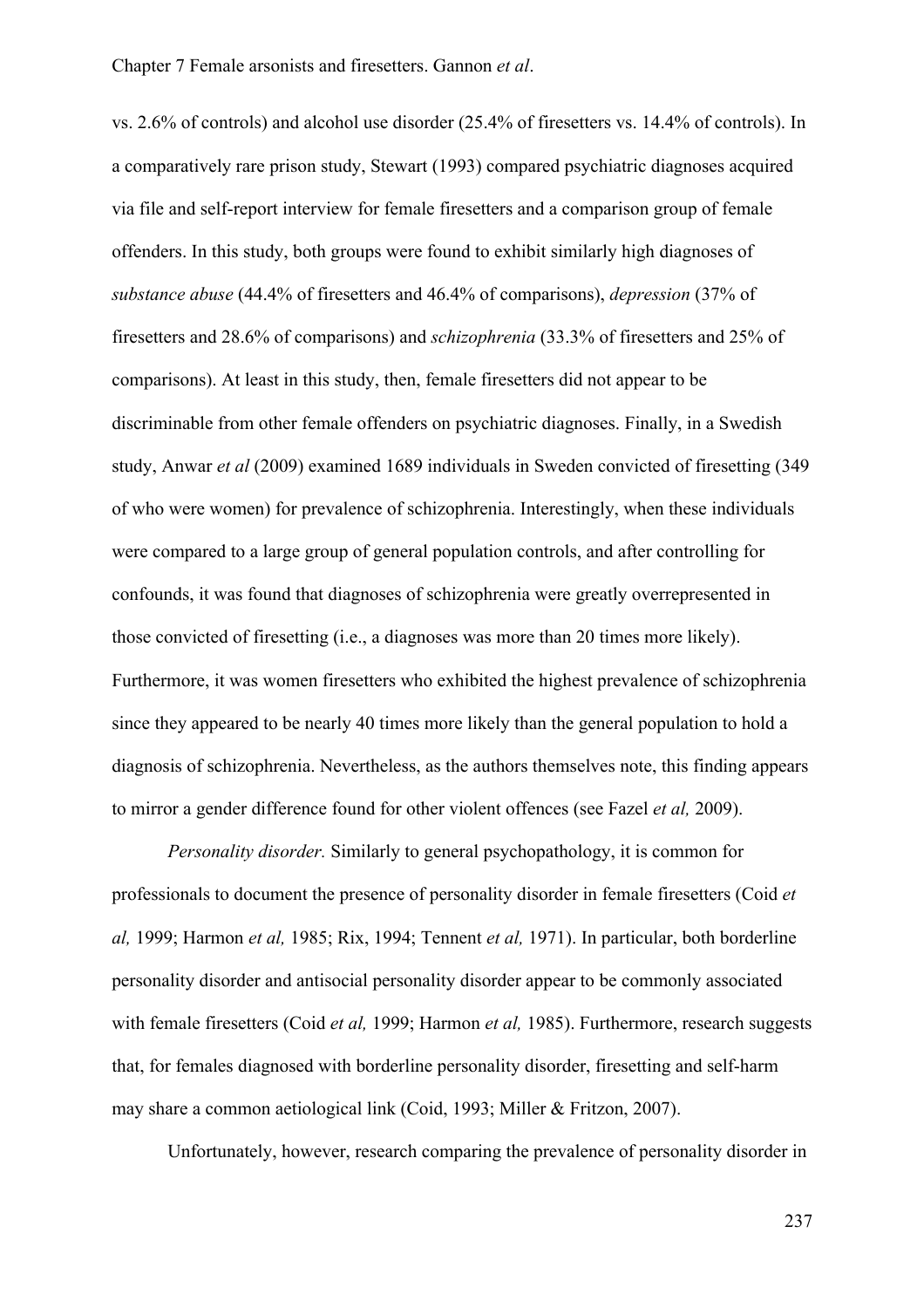vs. 2.6% of controls) and alcohol use disorder (25.4% of firesetters vs. 14.4% of controls). In a comparatively rare prison study, Stewart (1993) compared psychiatric diagnoses acquired via file and self-report interview for female firesetters and a comparison group of female offenders. In this study, both groups were found to exhibit similarly high diagnoses of *substance abuse* (44.4% of firesetters and 46.4% of comparisons), *depression* (37% of firesetters and 28.6% of comparisons) and *schizophrenia* (33.3% of firesetters and 25% of comparisons). At least in this study, then, female firesetters did not appear to be discriminable from other female offenders on psychiatric diagnoses. Finally, in a Swedish study, Anwar *et al* (2009) examined 1689 individuals in Sweden convicted of firesetting (349 of who were women) for prevalence of schizophrenia. Interestingly, when these individuals were compared to a large group of general population controls, and after controlling for confounds, it was found that diagnoses of schizophrenia were greatly overrepresented in those convicted of firesetting (i.e., a diagnoses was more than 20 times more likely). Furthermore, it was women firesetters who exhibited the highest prevalence of schizophrenia since they appeared to be nearly 40 times more likely than the general population to hold a diagnosis of schizophrenia. Nevertheless, as the authors themselves note, this finding appears to mirror a gender difference found for other violent offences (see Fazel *et al,* 2009).

*Personality disorder.* Similarly to general psychopathology, it is common for professionals to document the presence of personality disorder in female firesetters (Coid *et al,* 1999; Harmon *et al,* 1985; Rix, 1994; Tennent *et al,* 1971). In particular, both borderline personality disorder and antisocial personality disorder appear to be commonly associated with female firesetters (Coid *et al,* 1999; Harmon *et al,* 1985). Furthermore, research suggests that, for females diagnosed with borderline personality disorder, firesetting and self-harm may share a common aetiological link (Coid, 1993; Miller & Fritzon, 2007).

Unfortunately, however, research comparing the prevalence of personality disorder in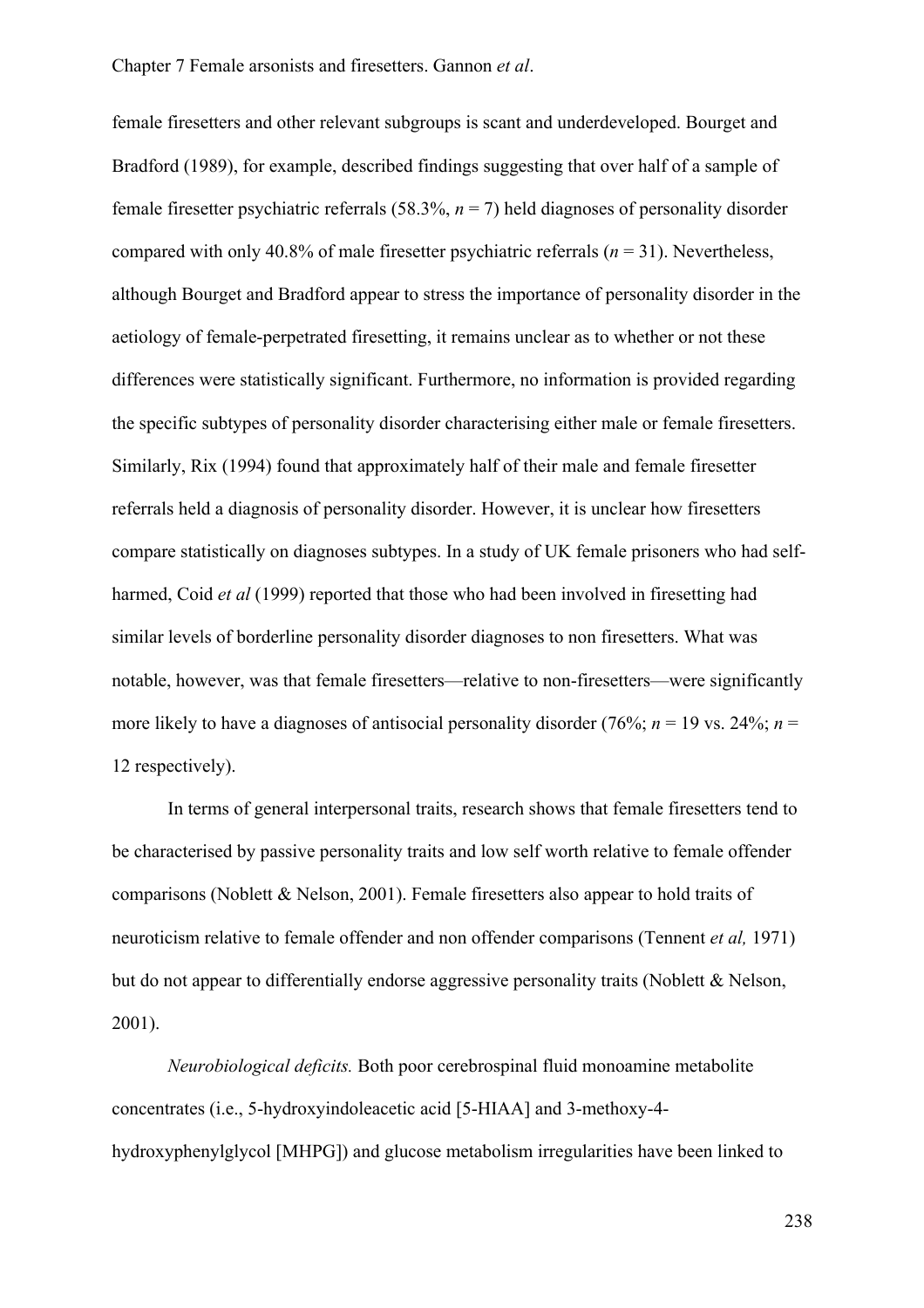female firesetters and other relevant subgroups is scant and underdeveloped. Bourget and Bradford (1989), for example, described findings suggesting that over half of a sample of female firesetter psychiatric referrals (58.3%, *n* = 7) held diagnoses of personality disorder compared with only 40.8% of male firesetter psychiatric referrals (*n* = 31). Nevertheless, although Bourget and Bradford appear to stress the importance of personality disorder in the aetiology of female-perpetrated firesetting, it remains unclear as to whether or not these differences were statistically significant. Furthermore, no information is provided regarding the specific subtypes of personality disorder characterising either male or female firesetters. Similarly, Rix (1994) found that approximately half of their male and female firesetter referrals held a diagnosis of personality disorder. However, it is unclear how firesetters compare statistically on diagnoses subtypes. In a study of UK female prisoners who had selfharmed, Coid *et al* (1999) reported that those who had been involved in firesetting had similar levels of borderline personality disorder diagnoses to non firesetters. What was notable, however, was that female firesetters—relative to non-firesetters—were significantly more likely to have a diagnoses of antisocial personality disorder (76%;  $n = 19$  vs. 24%;  $n =$ 12 respectively).

In terms of general interpersonal traits, research shows that female firesetters tend to be characterised by passive personality traits and low self worth relative to female offender comparisons (Noblett & Nelson, 2001). Female firesetters also appear to hold traits of neuroticism relative to female offender and non offender comparisons (Tennent *et al,* 1971) but do not appear to differentially endorse aggressive personality traits (Noblett & Nelson, 2001).

*Neurobiological deficits.* Both poor cerebrospinal fluid monoamine metabolite concentrates (i.e., 5-hydroxyindoleacetic acid [5-HIAA] and 3-methoxy-4 hydroxyphenylglycol [MHPG]) and glucose metabolism irregularities have been linked to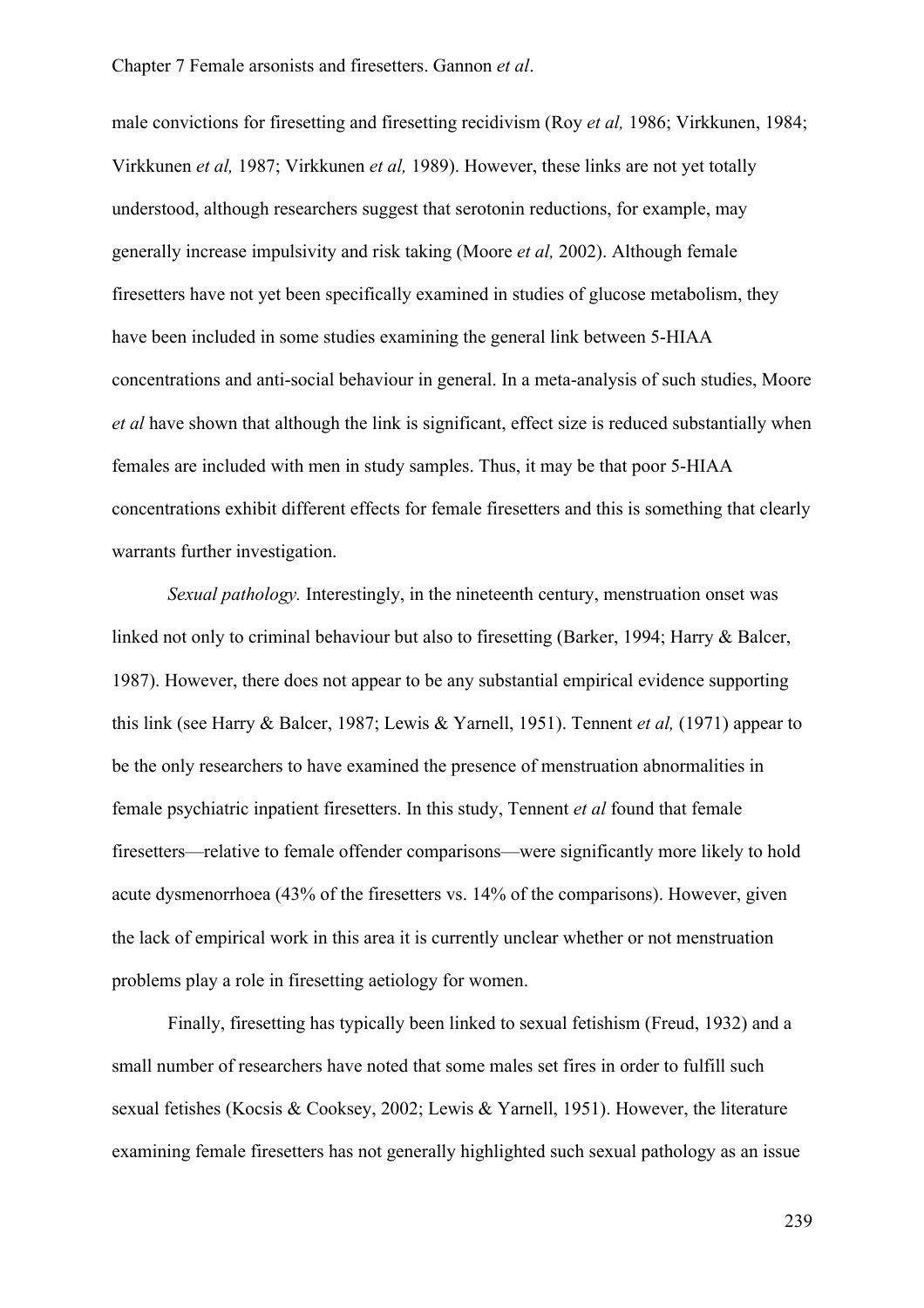male convictions for firesetting and firesetting recidivism (Roy *et al,* 1986; Virkkunen, 1984; Virkkunen *et al,* 1987; Virkkunen *et al,* 1989). However, these links are not yet totally understood, although researchers suggest that serotonin reductions, for example, may generally increase impulsivity and risk taking (Moore *et al,* 2002). Although female firesetters have not yet been specifically examined in studies of glucose metabolism, they have been included in some studies examining the general link between 5-HIAA concentrations and anti-social behaviour in general. In a meta-analysis of such studies, Moore *et al* have shown that although the link is significant, effect size is reduced substantially when females are included with men in study samples. Thus, it may be that poor 5-HIAA concentrations exhibit different effects for female firesetters and this is something that clearly warrants further investigation.

*Sexual pathology.* Interestingly, in the nineteenth century, menstruation onset was linked not only to criminal behaviour but also to firesetting (Barker, 1994; Harry & Balcer, 1987). However, there does not appear to be any substantial empirical evidence supporting this link (see Harry & Balcer, 1987; Lewis & Yarnell, 1951). Tennent *et al,* (1971) appear to be the only researchers to have examined the presence of menstruation abnormalities in female psychiatric inpatient firesetters. In this study, Tennent *et al* found that female firesetters—relative to female offender comparisons—were significantly more likely to hold acute dysmenorrhoea (43% of the firesetters vs. 14% of the comparisons). However, given the lack of empirical work in this area it is currently unclear whether or not menstruation problems play a role in firesetting aetiology for women.

Finally, firesetting has typically been linked to sexual fetishism (Freud, 1932) and a small number of researchers have noted that some males set fires in order to fulfill such sexual fetishes (Kocsis & Cooksey, 2002; Lewis & Yarnell, 1951). However, the literature examining female firesetters has not generally highlighted such sexual pathology as an issue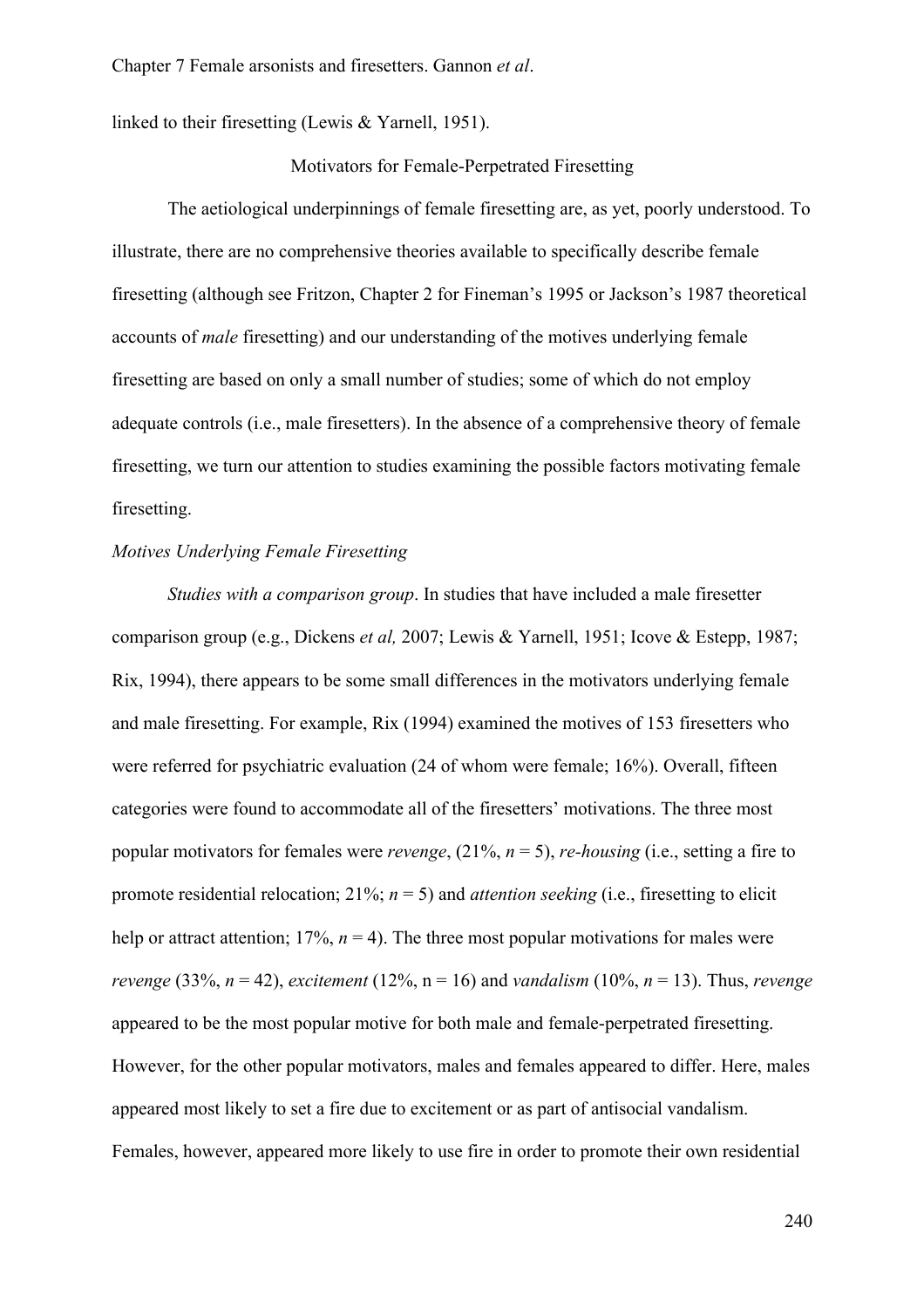linked to their firesetting (Lewis & Yarnell, 1951).

#### Motivators for Female-Perpetrated Firesetting

The aetiological underpinnings of female firesetting are, as yet, poorly understood. To illustrate, there are no comprehensive theories available to specifically describe female firesetting (although see Fritzon, Chapter 2 for Fineman's 1995 or Jackson's 1987 theoretical accounts of *male* firesetting) and our understanding of the motives underlying female firesetting are based on only a small number of studies; some of which do not employ adequate controls (i.e., male firesetters). In the absence of a comprehensive theory of female firesetting, we turn our attention to studies examining the possible factors motivating female firesetting.

#### *Motives Underlying Female Firesetting*

*Studies with a comparison group*. In studies that have included a male firesetter comparison group (e.g., Dickens *et al,* 2007; Lewis & Yarnell, 1951; Icove & Estepp, 1987; Rix, 1994), there appears to be some small differences in the motivators underlying female and male firesetting. For example, Rix (1994) examined the motives of 153 firesetters who were referred for psychiatric evaluation (24 of whom were female; 16%). Overall, fifteen categories were found to accommodate all of the firesetters' motivations. The three most popular motivators for females were *revenge*, (21%, *n* = 5), *re-housing* (i.e., setting a fire to promote residential relocation; 21%; *n* = 5) and *attention seeking* (i.e., firesetting to elicit help or attract attention;  $17\%$ ,  $n = 4$ ). The three most popular motivations for males were *revenge* (33%, *n* = 42), *excitement* (12%, n = 16) and *vandalism* (10%, *n* = 13). Thus, *revenge* appeared to be the most popular motive for both male and female-perpetrated firesetting. However, for the other popular motivators, males and females appeared to differ. Here, males appeared most likely to set a fire due to excitement or as part of antisocial vandalism. Females, however, appeared more likely to use fire in order to promote their own residential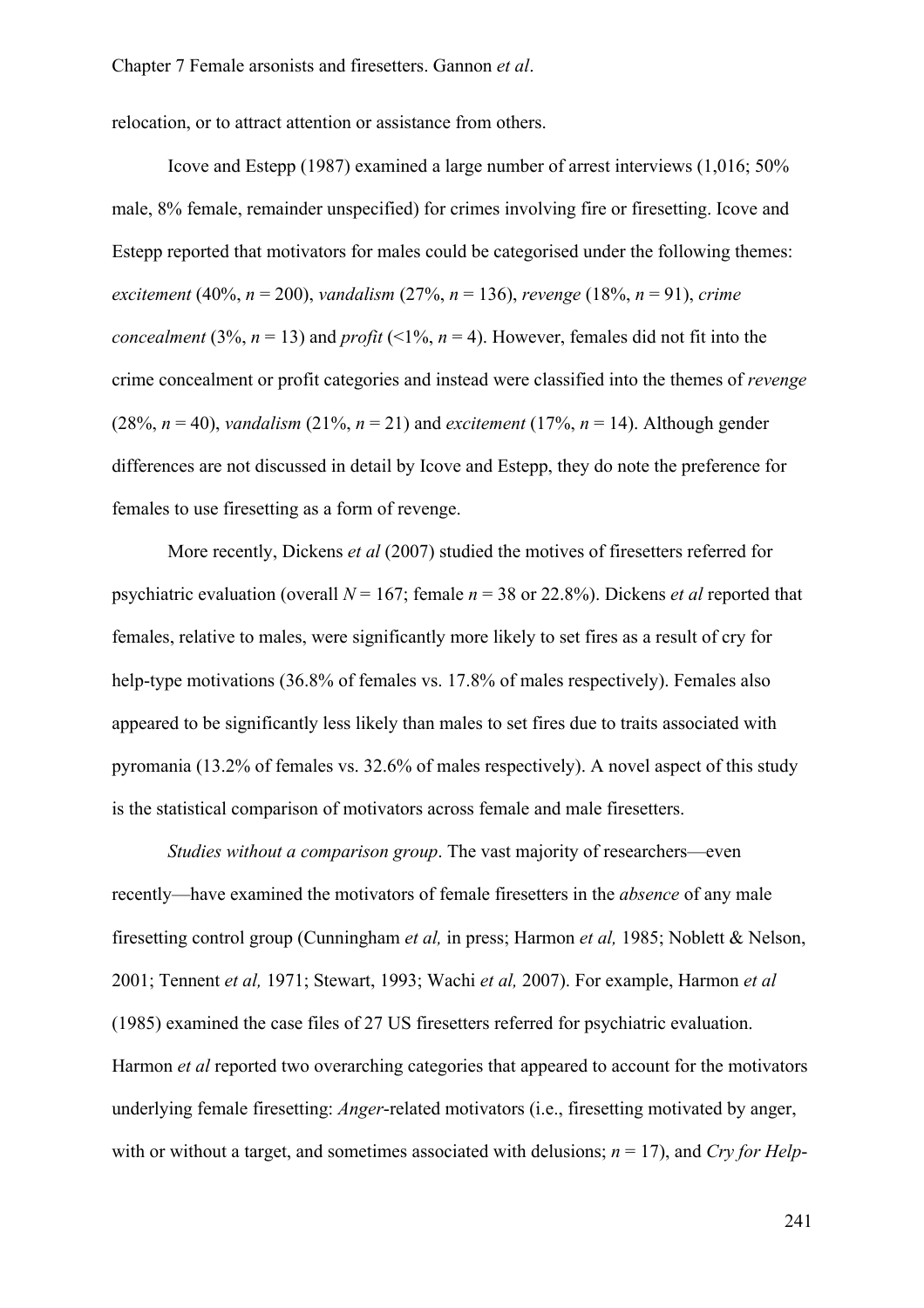relocation, or to attract attention or assistance from others.

Icove and Estepp (1987) examined a large number of arrest interviews (1,016; 50% male, 8% female, remainder unspecified) for crimes involving fire or firesetting. Icove and Estepp reported that motivators for males could be categorised under the following themes: *excitement* (40%, *n* = 200), *vandalism* (27%, *n* = 136), *revenge* (18%, *n* = 91), *crime concealment* (3%,  $n = 13$ ) and *profit* (<1%,  $n = 4$ ). However, females did not fit into the crime concealment or profit categories and instead were classified into the themes of *revenge* (28%,  $n = 40$ ), *vandalism* (21%,  $n = 21$ ) and *excitement* (17%,  $n = 14$ ). Although gender differences are not discussed in detail by Icove and Estepp, they do note the preference for females to use firesetting as a form of revenge.

More recently, Dickens *et al* (2007) studied the motives of firesetters referred for psychiatric evaluation (overall *N* = 167; female *n* = 38 or 22.8%). Dickens *et al* reported that females, relative to males, were significantly more likely to set fires as a result of cry for help-type motivations (36.8% of females vs. 17.8% of males respectively). Females also appeared to be significantly less likely than males to set fires due to traits associated with pyromania (13.2% of females vs. 32.6% of males respectively). A novel aspect of this study is the statistical comparison of motivators across female and male firesetters.

*Studies without a comparison group*. The vast majority of researchers—even recently—have examined the motivators of female firesetters in the *absence* of any male firesetting control group (Cunningham *et al,* in press; Harmon *et al,* 1985; Noblett & Nelson, 2001; Tennent *et al,* 1971; Stewart, 1993; Wachi *et al,* 2007). For example, Harmon *et al* (1985) examined the case files of 27 US firesetters referred for psychiatric evaluation. Harmon *et al* reported two overarching categories that appeared to account for the motivators underlying female firesetting: *Anger*-related motivators (i.e., firesetting motivated by anger, with or without a target, and sometimes associated with delusions;  $n = 17$ ), and *Cry for Help*-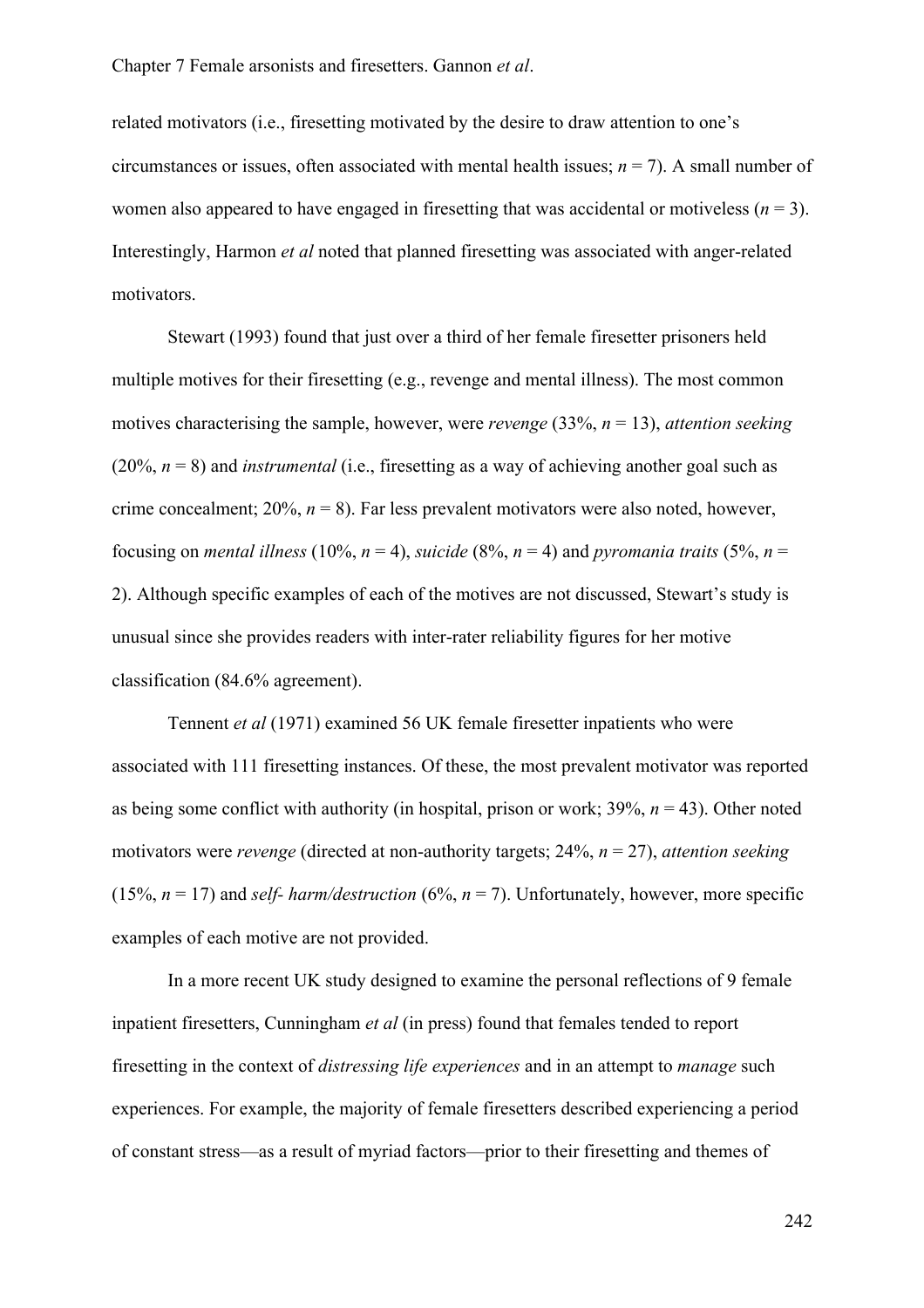related motivators (i.e., firesetting motivated by the desire to draw attention to one's circumstances or issues, often associated with mental health issues;  $n = 7$ ). A small number of women also appeared to have engaged in firesetting that was accidental or motiveless  $(n = 3)$ . Interestingly, Harmon *et al* noted that planned firesetting was associated with anger-related motivators.

Stewart (1993) found that just over a third of her female firesetter prisoners held multiple motives for their firesetting (e.g., revenge and mental illness). The most common motives characterising the sample, however, were *revenge* (33%, *n* = 13), *attention seeking* (20%, *n* = 8) and *instrumental* (i.e., firesetting as a way of achieving another goal such as crime concealment; 20%, *n* = 8). Far less prevalent motivators were also noted, however, focusing on *mental illness* (10%,  $n = 4$ ), *suicide* (8%,  $n = 4$ ) and *pyromania traits* (5%,  $n =$ 2). Although specific examples of each of the motives are not discussed, Stewart's study is unusual since she provides readers with inter-rater reliability figures for her motive classification (84.6% agreement).

Tennent *et al* (1971) examined 56 UK female firesetter inpatients who were associated with 111 firesetting instances. Of these, the most prevalent motivator was reported as being some conflict with authority (in hospital, prison or work;  $39\%$ ,  $n = 43$ ). Other noted motivators were *revenge* (directed at non-authority targets; 24%, *n* = 27), *attention seeking* (15%,  $n = 17$ ) and *self- harm/destruction* (6%,  $n = 7$ ). Unfortunately, however, more specific examples of each motive are not provided.

In a more recent UK study designed to examine the personal reflections of 9 female inpatient firesetters, Cunningham *et al* (in press) found that females tended to report firesetting in the context of *distressing life experiences* and in an attempt to *manage* such experiences. For example, the majority of female firesetters described experiencing a period of constant stress—as a result of myriad factors—prior to their firesetting and themes of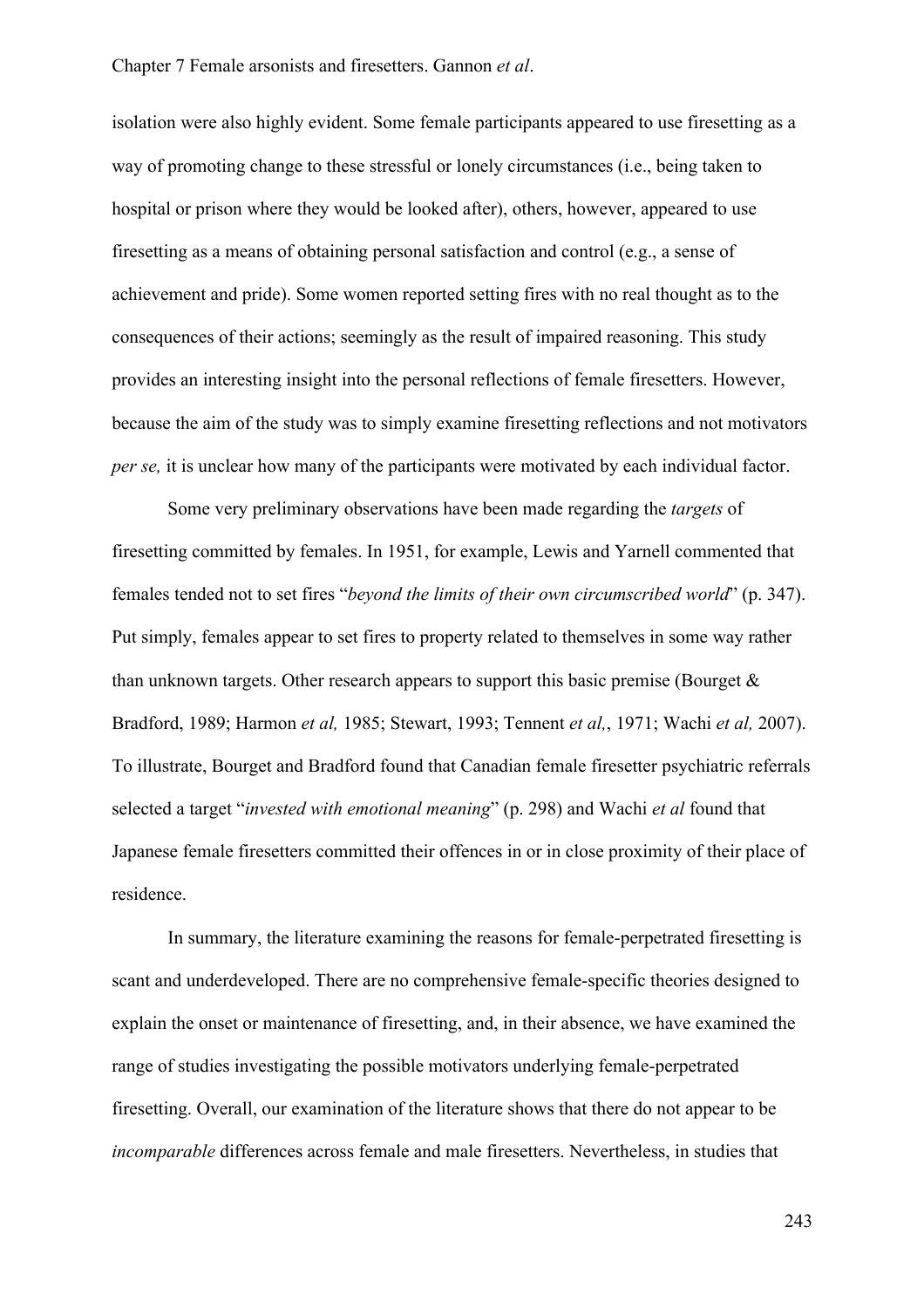isolation were also highly evident. Some female participants appeared to use firesetting as a way of promoting change to these stressful or lonely circumstances (i.e., being taken to hospital or prison where they would be looked after), others, however, appeared to use firesetting as a means of obtaining personal satisfaction and control (e.g., a sense of achievement and pride). Some women reported setting fires with no real thought as to the consequences of their actions; seemingly as the result of impaired reasoning. This study provides an interesting insight into the personal reflections of female firesetters. However, because the aim of the study was to simply examine firesetting reflections and not motivators *per se,* it is unclear how many of the participants were motivated by each individual factor.

Some very preliminary observations have been made regarding the *targets* of firesetting committed by females. In 1951, for example, Lewis and Yarnell commented that females tended not to set fires "*beyond the limits of their own circumscribed world*" (p. 347). Put simply, females appear to set fires to property related to themselves in some way rather than unknown targets. Other research appears to support this basic premise (Bourget  $\&$ Bradford, 1989; Harmon *et al,* 1985; Stewart, 1993; Tennent *et al,*, 1971; Wachi *et al,* 2007). To illustrate, Bourget and Bradford found that Canadian female firesetter psychiatric referrals selected a target "*invested with emotional meaning*" (p. 298) and Wachi *et al* found that Japanese female firesetters committed their offences in or in close proximity of their place of residence.

In summary, the literature examining the reasons for female-perpetrated firesetting is scant and underdeveloped. There are no comprehensive female-specific theories designed to explain the onset or maintenance of firesetting, and, in their absence, we have examined the range of studies investigating the possible motivators underlying female-perpetrated firesetting. Overall, our examination of the literature shows that there do not appear to be *incomparable* differences across female and male firesetters. Nevertheless, in studies that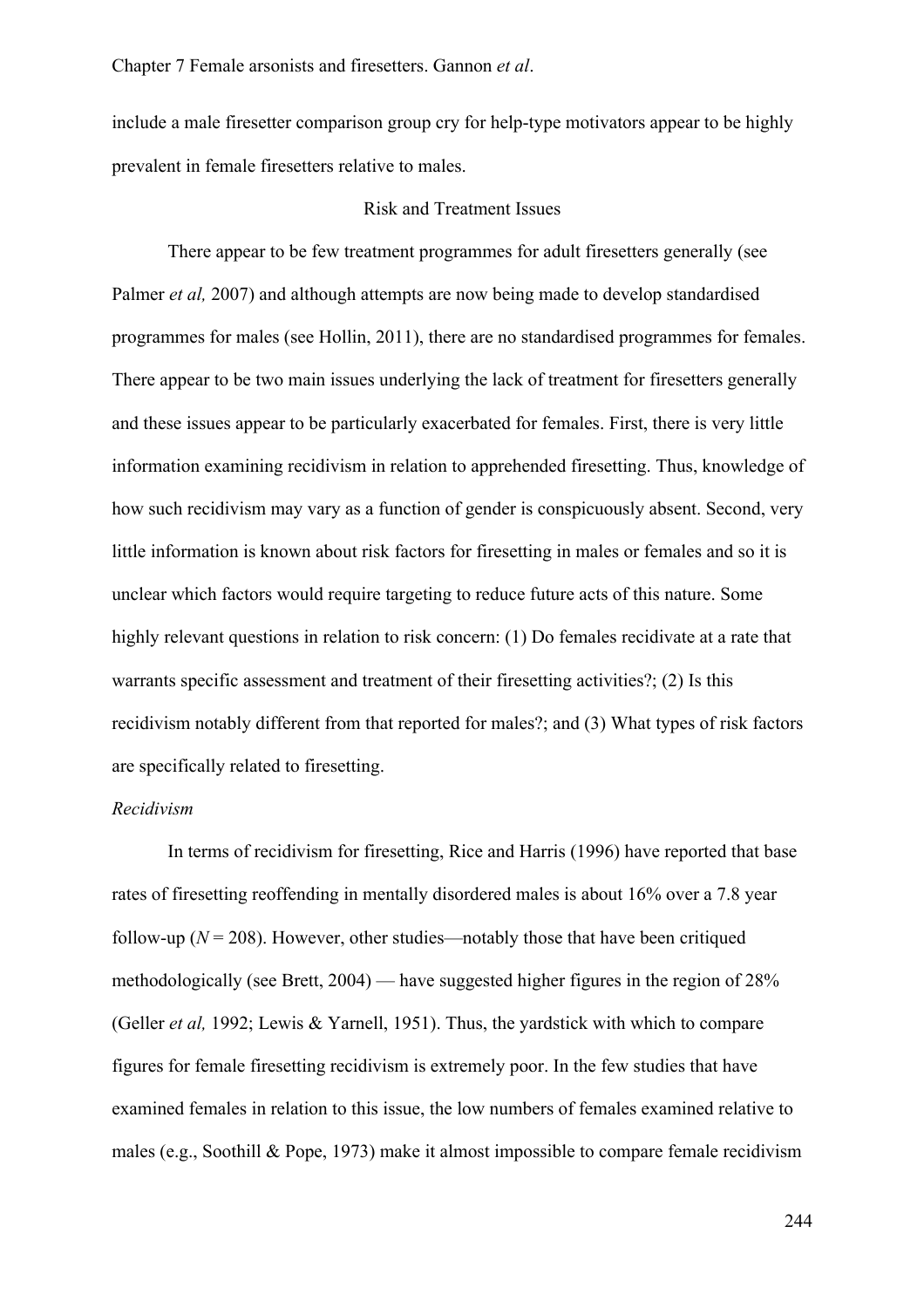include a male firesetter comparison group cry for help-type motivators appear to be highly prevalent in female firesetters relative to males.

#### Risk and Treatment Issues

There appear to be few treatment programmes for adult firesetters generally (see Palmer *et al,* 2007) and although attempts are now being made to develop standardised programmes for males (see Hollin, 2011), there are no standardised programmes for females. There appear to be two main issues underlying the lack of treatment for firesetters generally and these issues appear to be particularly exacerbated for females. First, there is very little information examining recidivism in relation to apprehended firesetting. Thus, knowledge of how such recidivism may vary as a function of gender is conspicuously absent. Second, very little information is known about risk factors for firesetting in males or females and so it is unclear which factors would require targeting to reduce future acts of this nature. Some highly relevant questions in relation to risk concern: (1) Do females recidivate at a rate that warrants specific assessment and treatment of their firesetting activities?; (2) Is this recidivism notably different from that reported for males?; and (3) What types of risk factors are specifically related to firesetting.

#### *Recidivism*

In terms of recidivism for firesetting, Rice and Harris (1996) have reported that base rates of firesetting reoffending in mentally disordered males is about 16% over a 7.8 year follow-up  $(N = 208)$ . However, other studies—notably those that have been critiqued methodologically (see Brett, 2004) — have suggested higher figures in the region of 28% (Geller *et al,* 1992; Lewis & Yarnell, 1951). Thus, the yardstick with which to compare figures for female firesetting recidivism is extremely poor. In the few studies that have examined females in relation to this issue, the low numbers of females examined relative to males (e.g., Soothill & Pope, 1973) make it almost impossible to compare female recidivism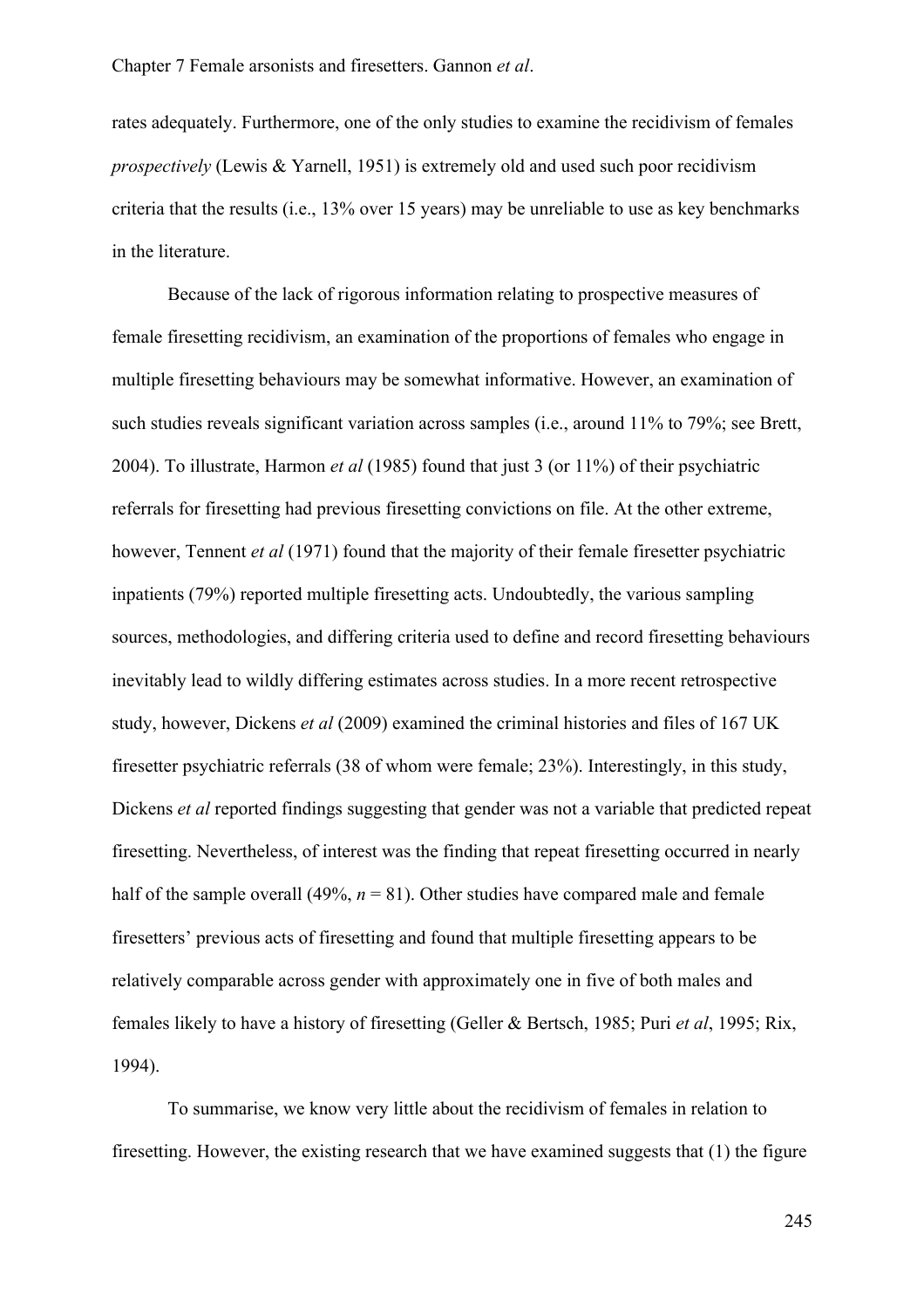rates adequately. Furthermore, one of the only studies to examine the recidivism of females *prospectively* (Lewis & Yarnell, 1951) is extremely old and used such poor recidivism criteria that the results (i.e., 13% over 15 years) may be unreliable to use as key benchmarks in the literature.

Because of the lack of rigorous information relating to prospective measures of female firesetting recidivism, an examination of the proportions of females who engage in multiple firesetting behaviours may be somewhat informative. However, an examination of such studies reveals significant variation across samples (i.e., around 11% to 79%; see Brett, 2004). To illustrate, Harmon *et al* (1985) found that just 3 (or 11%) of their psychiatric referrals for firesetting had previous firesetting convictions on file. At the other extreme, however, Tennent *et al* (1971) found that the majority of their female firesetter psychiatric inpatients (79%) reported multiple firesetting acts. Undoubtedly, the various sampling sources, methodologies, and differing criteria used to define and record firesetting behaviours inevitably lead to wildly differing estimates across studies. In a more recent retrospective study, however, Dickens *et al* (2009) examined the criminal histories and files of 167 UK firesetter psychiatric referrals (38 of whom were female; 23%). Interestingly, in this study, Dickens *et al* reported findings suggesting that gender was not a variable that predicted repeat firesetting. Nevertheless, of interest was the finding that repeat firesetting occurred in nearly half of the sample overall (49%,  $n = 81$ ). Other studies have compared male and female firesetters' previous acts of firesetting and found that multiple firesetting appears to be relatively comparable across gender with approximately one in five of both males and females likely to have a history of firesetting (Geller & Bertsch, 1985; Puri *et al*, 1995; Rix, 1994).

To summarise, we know very little about the recidivism of females in relation to firesetting. However, the existing research that we have examined suggests that (1) the figure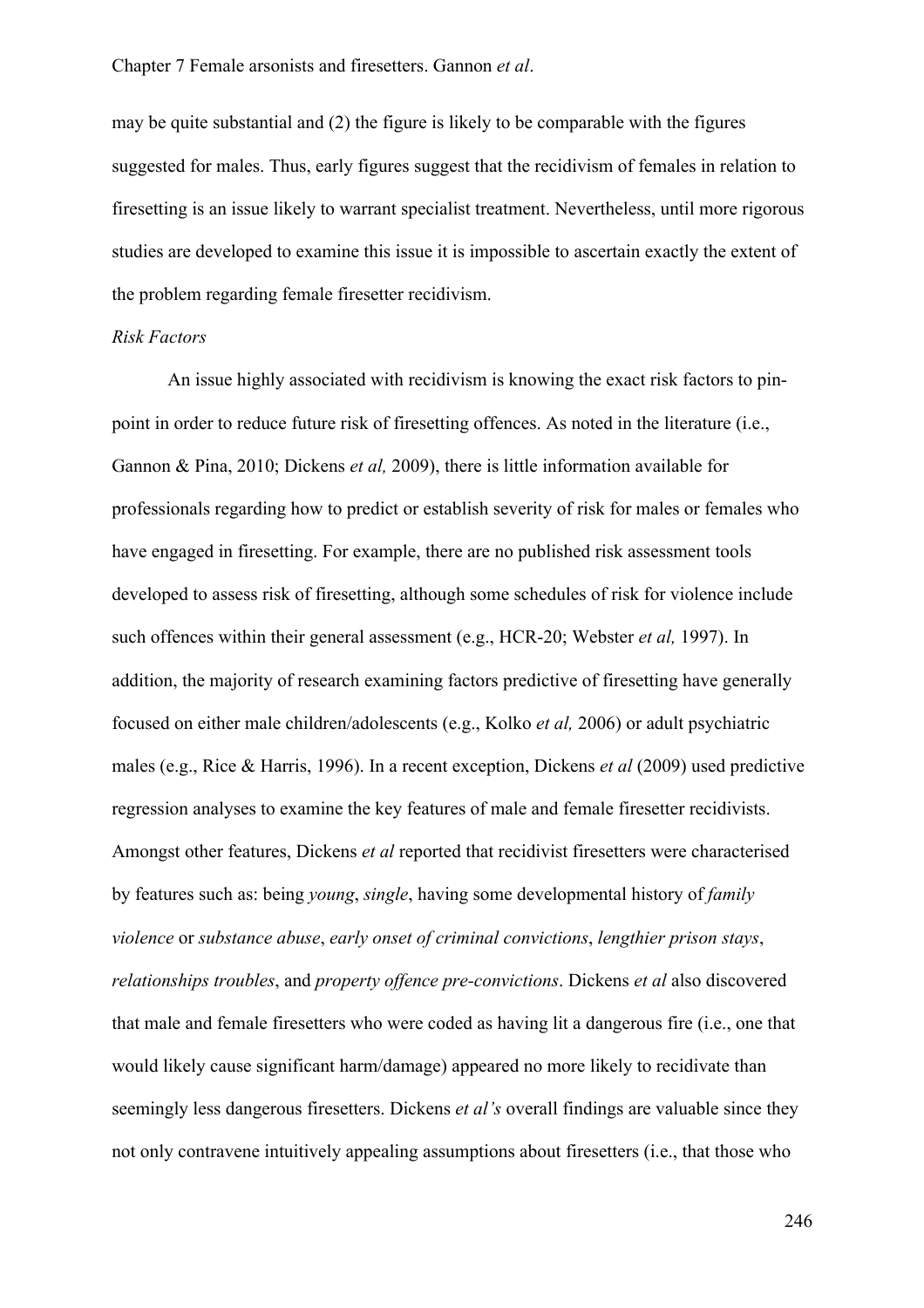may be quite substantial and (2) the figure is likely to be comparable with the figures suggested for males. Thus, early figures suggest that the recidivism of females in relation to firesetting is an issue likely to warrant specialist treatment. Nevertheless, until more rigorous studies are developed to examine this issue it is impossible to ascertain exactly the extent of the problem regarding female firesetter recidivism.

#### *Risk Factors*

An issue highly associated with recidivism is knowing the exact risk factors to pinpoint in order to reduce future risk of firesetting offences. As noted in the literature (i.e., Gannon & Pina, 2010; Dickens *et al,* 2009), there is little information available for professionals regarding how to predict or establish severity of risk for males or females who have engaged in firesetting. For example, there are no published risk assessment tools developed to assess risk of firesetting, although some schedules of risk for violence include such offences within their general assessment (e.g., HCR-20; Webster *et al,* 1997). In addition, the majority of research examining factors predictive of firesetting have generally focused on either male children/adolescents (e.g., Kolko *et al,* 2006) or adult psychiatric males (e.g., Rice & Harris, 1996). In a recent exception, Dickens *et al* (2009) used predictive regression analyses to examine the key features of male and female firesetter recidivists. Amongst other features, Dickens *et al* reported that recidivist firesetters were characterised by features such as: being *young*, *single*, having some developmental history of *family violence* or *substance abuse*, *early onset of criminal convictions*, *lengthier prison stays*, *relationships troubles*, and *property offence pre-convictions*. Dickens *et al* also discovered that male and female firesetters who were coded as having lit a dangerous fire (i.e., one that would likely cause significant harm/damage) appeared no more likely to recidivate than seemingly less dangerous firesetters. Dickens *et al's* overall findings are valuable since they not only contravene intuitively appealing assumptions about firesetters (i.e., that those who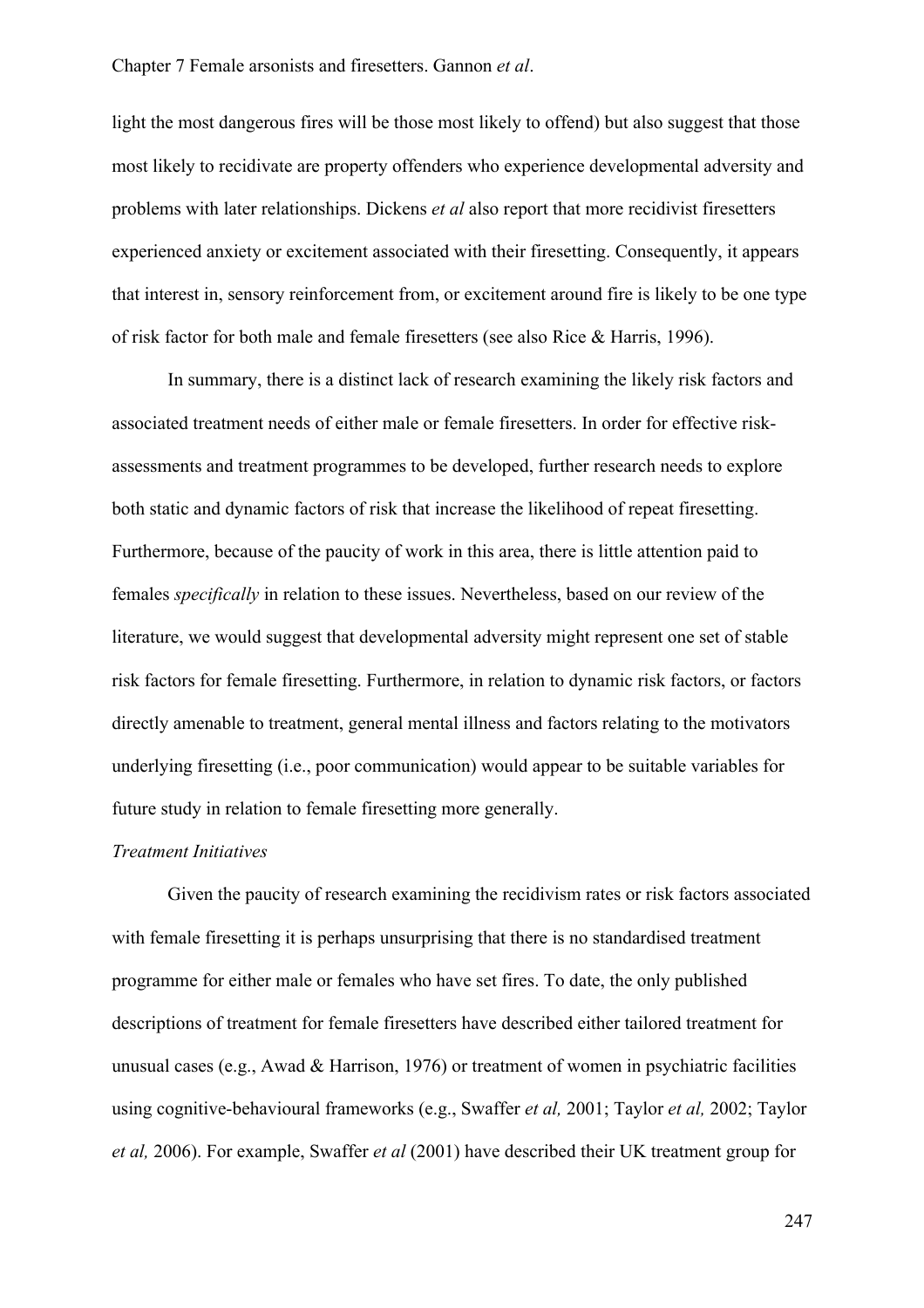light the most dangerous fires will be those most likely to offend) but also suggest that those most likely to recidivate are property offenders who experience developmental adversity and problems with later relationships. Dickens *et al* also report that more recidivist firesetters experienced anxiety or excitement associated with their firesetting. Consequently, it appears that interest in, sensory reinforcement from, or excitement around fire is likely to be one type of risk factor for both male and female firesetters (see also Rice & Harris, 1996).

In summary, there is a distinct lack of research examining the likely risk factors and associated treatment needs of either male or female firesetters. In order for effective riskassessments and treatment programmes to be developed, further research needs to explore both static and dynamic factors of risk that increase the likelihood of repeat firesetting. Furthermore, because of the paucity of work in this area, there is little attention paid to females *specifically* in relation to these issues. Nevertheless, based on our review of the literature, we would suggest that developmental adversity might represent one set of stable risk factors for female firesetting. Furthermore, in relation to dynamic risk factors, or factors directly amenable to treatment, general mental illness and factors relating to the motivators underlying firesetting (i.e., poor communication) would appear to be suitable variables for future study in relation to female firesetting more generally.

#### *Treatment Initiatives*

Given the paucity of research examining the recidivism rates or risk factors associated with female firesetting it is perhaps unsurprising that there is no standardised treatment programme for either male or females who have set fires. To date, the only published descriptions of treatment for female firesetters have described either tailored treatment for unusual cases (e.g., Awad & Harrison, 1976) or treatment of women in psychiatric facilities using cognitive-behavioural frameworks (e.g., Swaffer *et al,* 2001; Taylor *et al,* 2002; Taylor *et al,* 2006). For example, Swaffer *et al* (2001) have described their UK treatment group for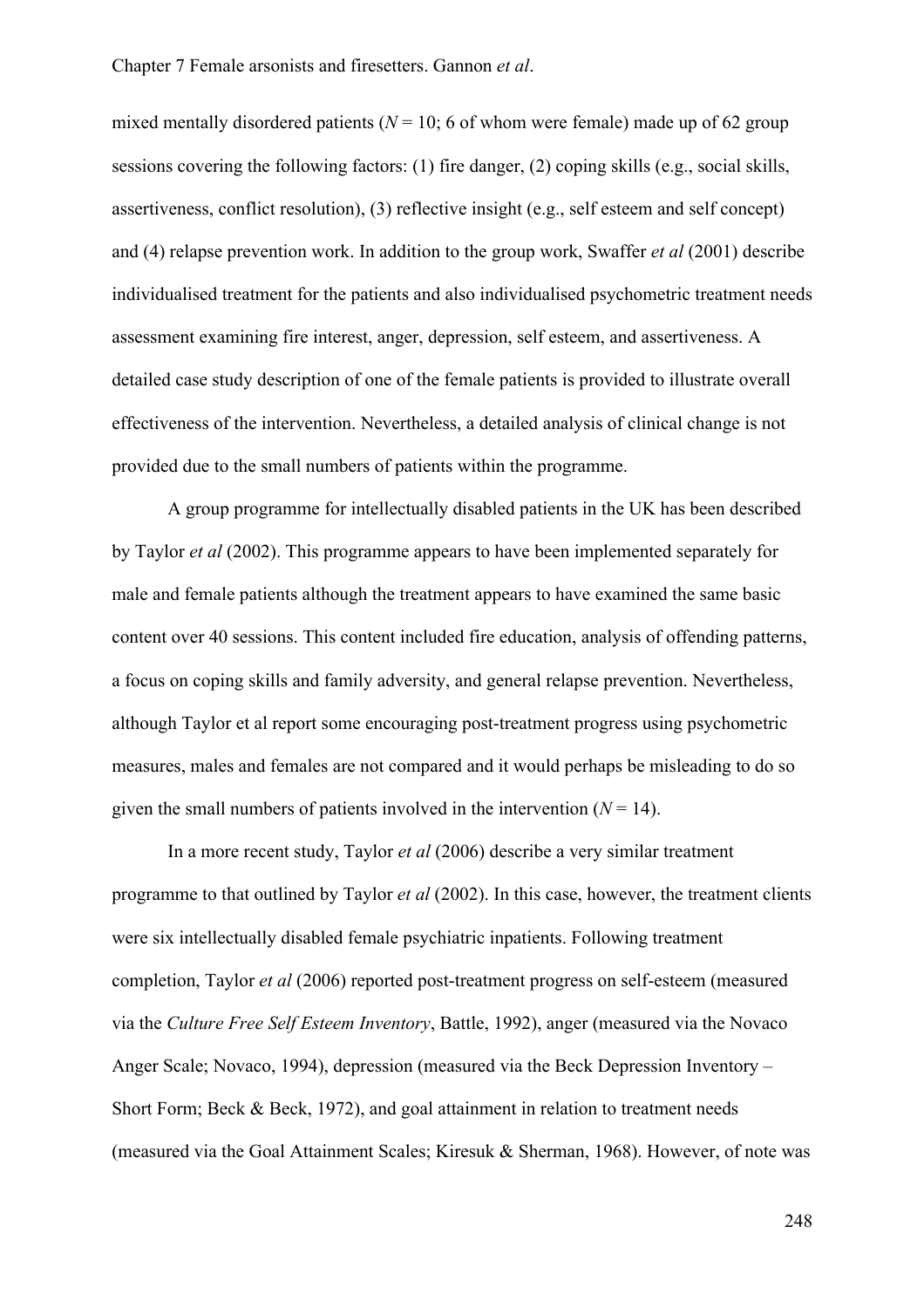mixed mentally disordered patients ( $N = 10$ ; 6 of whom were female) made up of 62 group sessions covering the following factors: (1) fire danger, (2) coping skills (e.g., social skills, assertiveness, conflict resolution), (3) reflective insight (e.g., self esteem and self concept) and (4) relapse prevention work. In addition to the group work, Swaffer *et al* (2001) describe individualised treatment for the patients and also individualised psychometric treatment needs assessment examining fire interest, anger, depression, self esteem, and assertiveness. A detailed case study description of one of the female patients is provided to illustrate overall effectiveness of the intervention. Nevertheless, a detailed analysis of clinical change is not provided due to the small numbers of patients within the programme.

A group programme for intellectually disabled patients in the UK has been described by Taylor *et al* (2002). This programme appears to have been implemented separately for male and female patients although the treatment appears to have examined the same basic content over 40 sessions. This content included fire education, analysis of offending patterns, a focus on coping skills and family adversity, and general relapse prevention. Nevertheless, although Taylor et al report some encouraging post-treatment progress using psychometric measures, males and females are not compared and it would perhaps be misleading to do so given the small numbers of patients involved in the intervention  $(N = 14)$ .

In a more recent study, Taylor *et al* (2006) describe a very similar treatment programme to that outlined by Taylor *et al* (2002). In this case, however, the treatment clients were six intellectually disabled female psychiatric inpatients. Following treatment completion, Taylor *et al* (2006) reported post-treatment progress on self-esteem (measured via the *Culture Free Self Esteem Inventory*, Battle, 1992), anger (measured via the Novaco Anger Scale; Novaco, 1994), depression (measured via the Beck Depression Inventory – Short Form; Beck & Beck, 1972), and goal attainment in relation to treatment needs (measured via the Goal Attainment Scales; Kiresuk & Sherman, 1968). However, of note was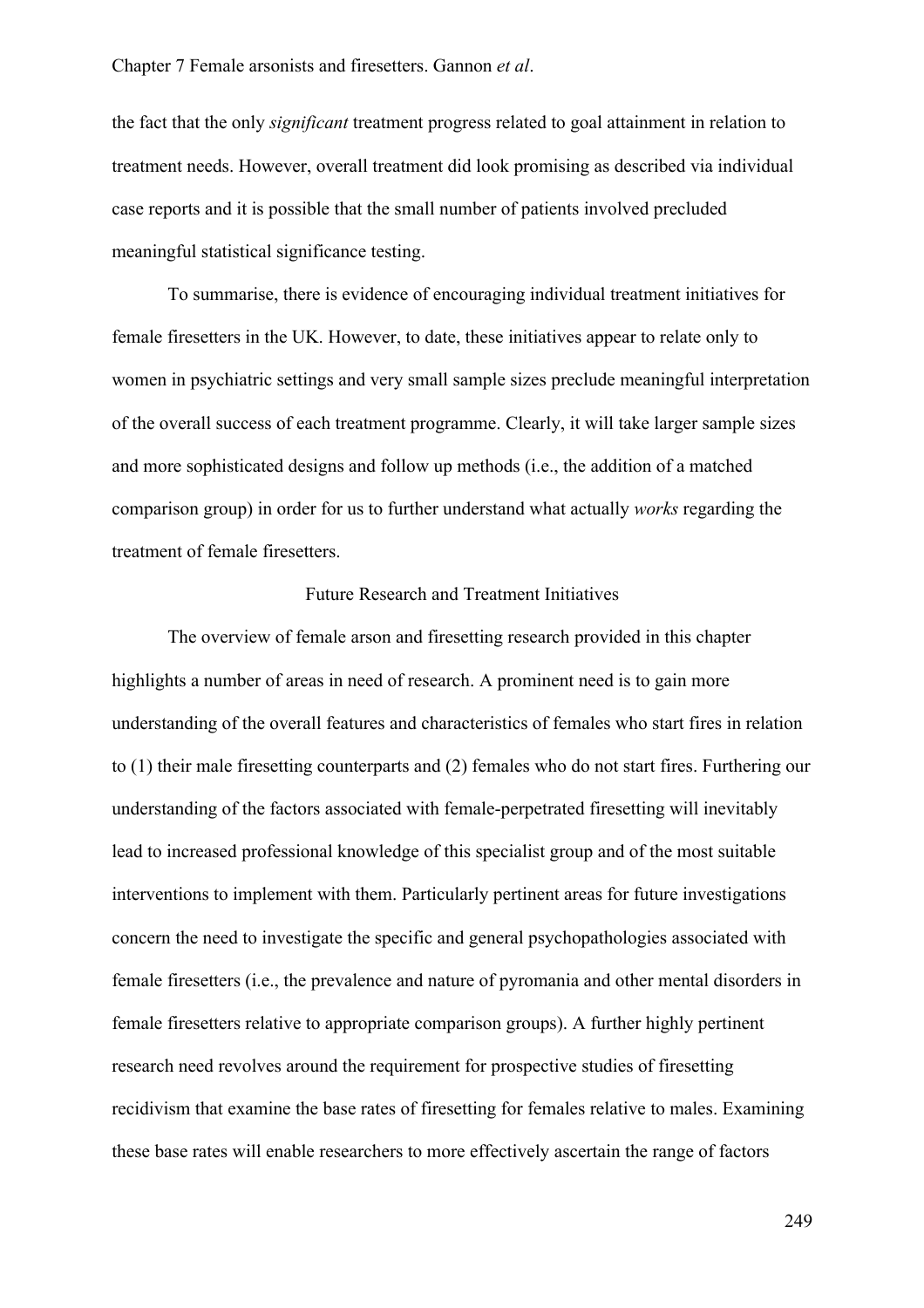the fact that the only *significant* treatment progress related to goal attainment in relation to treatment needs. However, overall treatment did look promising as described via individual case reports and it is possible that the small number of patients involved precluded meaningful statistical significance testing.

To summarise, there is evidence of encouraging individual treatment initiatives for female firesetters in the UK. However, to date, these initiatives appear to relate only to women in psychiatric settings and very small sample sizes preclude meaningful interpretation of the overall success of each treatment programme. Clearly, it will take larger sample sizes and more sophisticated designs and follow up methods (i.e., the addition of a matched comparison group) in order for us to further understand what actually *works* regarding the treatment of female firesetters.

#### Future Research and Treatment Initiatives

The overview of female arson and firesetting research provided in this chapter highlights a number of areas in need of research. A prominent need is to gain more understanding of the overall features and characteristics of females who start fires in relation to (1) their male firesetting counterparts and (2) females who do not start fires. Furthering our understanding of the factors associated with female-perpetrated firesetting will inevitably lead to increased professional knowledge of this specialist group and of the most suitable interventions to implement with them. Particularly pertinent areas for future investigations concern the need to investigate the specific and general psychopathologies associated with female firesetters (i.e., the prevalence and nature of pyromania and other mental disorders in female firesetters relative to appropriate comparison groups). A further highly pertinent research need revolves around the requirement for prospective studies of firesetting recidivism that examine the base rates of firesetting for females relative to males. Examining these base rates will enable researchers to more effectively ascertain the range of factors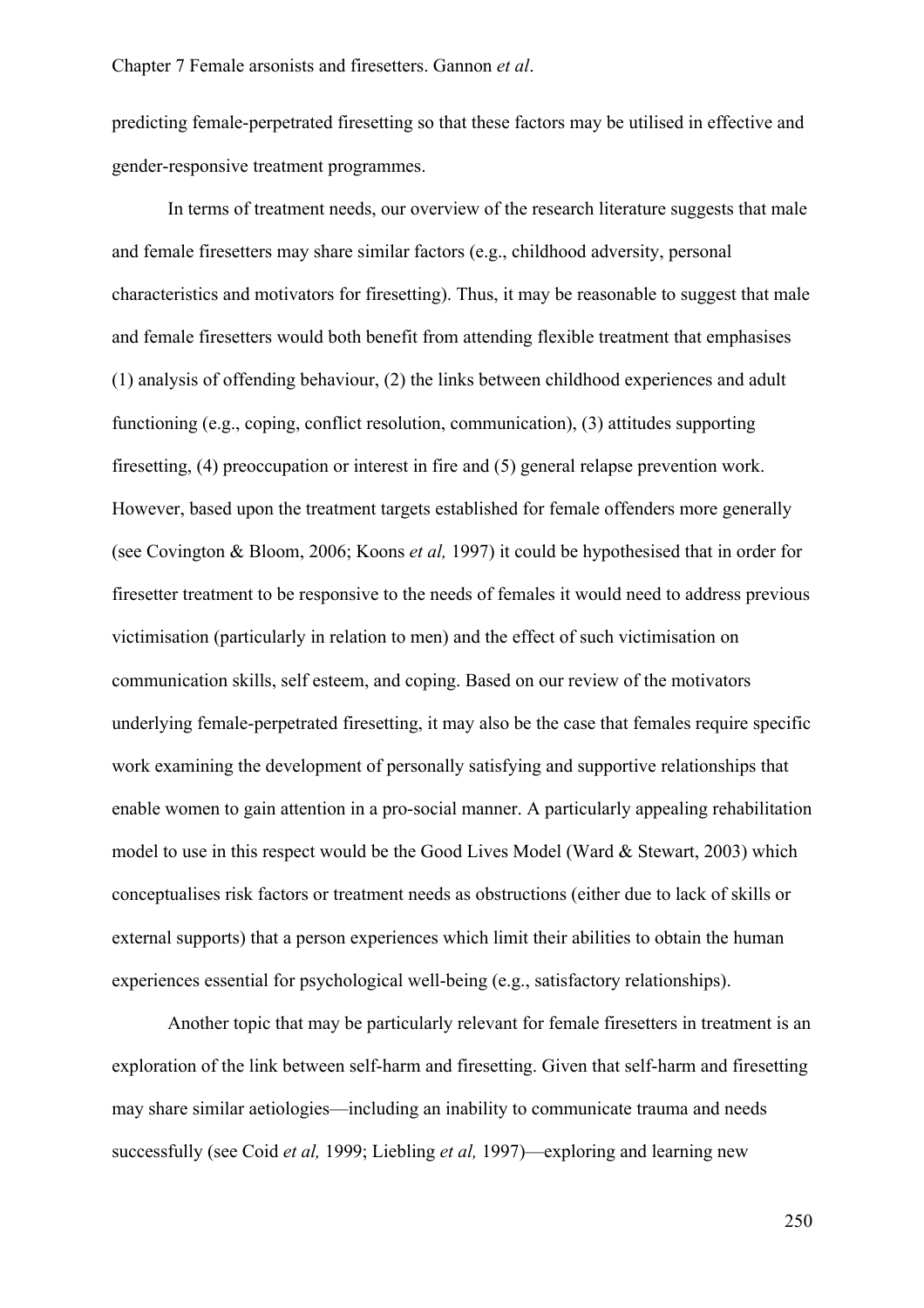predicting female-perpetrated firesetting so that these factors may be utilised in effective and gender-responsive treatment programmes.

In terms of treatment needs, our overview of the research literature suggests that male and female firesetters may share similar factors (e.g., childhood adversity, personal characteristics and motivators for firesetting). Thus, it may be reasonable to suggest that male and female firesetters would both benefit from attending flexible treatment that emphasises (1) analysis of offending behaviour, (2) the links between childhood experiences and adult functioning (e.g., coping, conflict resolution, communication), (3) attitudes supporting firesetting, (4) preoccupation or interest in fire and (5) general relapse prevention work. However, based upon the treatment targets established for female offenders more generally (see Covington & Bloom, 2006; Koons *et al,* 1997) it could be hypothesised that in order for firesetter treatment to be responsive to the needs of females it would need to address previous victimisation (particularly in relation to men) and the effect of such victimisation on communication skills, self esteem, and coping. Based on our review of the motivators underlying female-perpetrated firesetting, it may also be the case that females require specific work examining the development of personally satisfying and supportive relationships that enable women to gain attention in a pro-social manner. A particularly appealing rehabilitation model to use in this respect would be the Good Lives Model (Ward & Stewart, 2003) which conceptualises risk factors or treatment needs as obstructions (either due to lack of skills or external supports) that a person experiences which limit their abilities to obtain the human experiences essential for psychological well-being (e.g., satisfactory relationships).

Another topic that may be particularly relevant for female firesetters in treatment is an exploration of the link between self-harm and firesetting. Given that self-harm and firesetting may share similar aetiologies—including an inability to communicate trauma and needs successfully (see Coid *et al,* 1999; Liebling *et al,* 1997)—exploring and learning new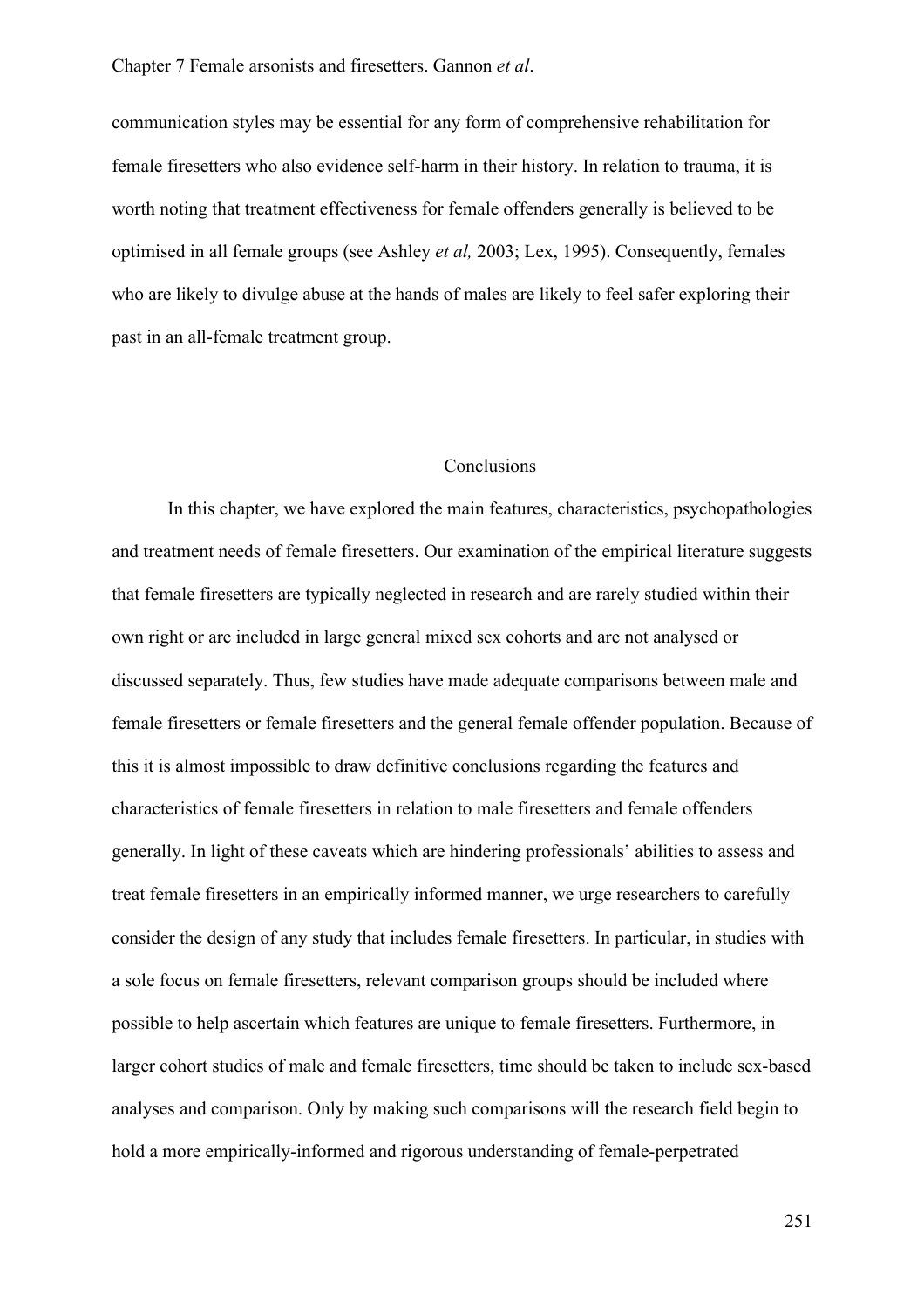communication styles may be essential for any form of comprehensive rehabilitation for female firesetters who also evidence self-harm in their history. In relation to trauma, it is worth noting that treatment effectiveness for female offenders generally is believed to be optimised in all female groups (see Ashley *et al,* 2003; Lex, 1995). Consequently, females who are likely to divulge abuse at the hands of males are likely to feel safer exploring their past in an all-female treatment group.

#### **Conclusions**

In this chapter, we have explored the main features, characteristics, psychopathologies and treatment needs of female firesetters. Our examination of the empirical literature suggests that female firesetters are typically neglected in research and are rarely studied within their own right or are included in large general mixed sex cohorts and are not analysed or discussed separately. Thus, few studies have made adequate comparisons between male and female firesetters or female firesetters and the general female offender population. Because of this it is almost impossible to draw definitive conclusions regarding the features and characteristics of female firesetters in relation to male firesetters and female offenders generally. In light of these caveats which are hindering professionals' abilities to assess and treat female firesetters in an empirically informed manner, we urge researchers to carefully consider the design of any study that includes female firesetters. In particular, in studies with a sole focus on female firesetters, relevant comparison groups should be included where possible to help ascertain which features are unique to female firesetters. Furthermore, in larger cohort studies of male and female firesetters, time should be taken to include sex-based analyses and comparison. Only by making such comparisons will the research field begin to hold a more empirically-informed and rigorous understanding of female-perpetrated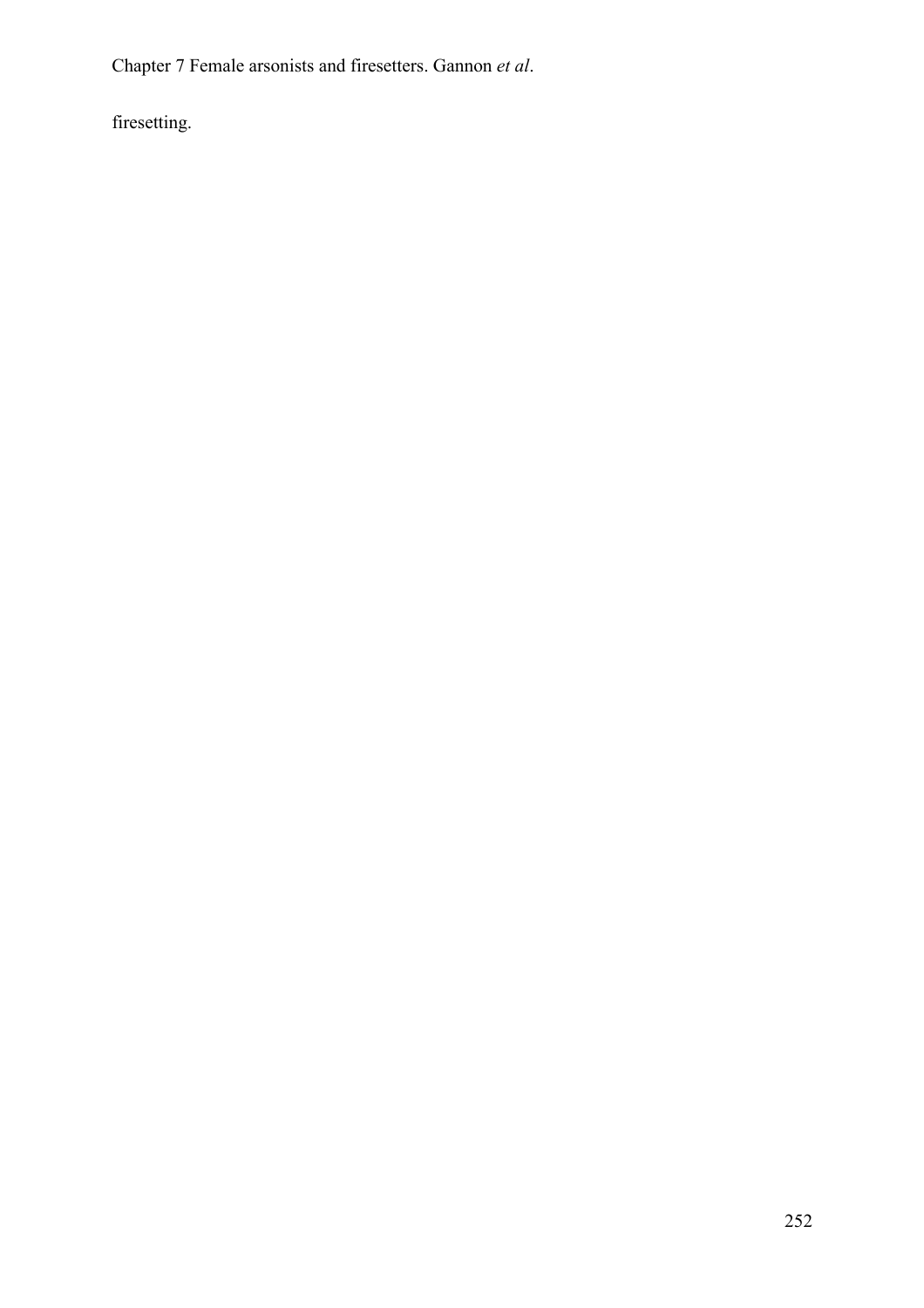firesetting.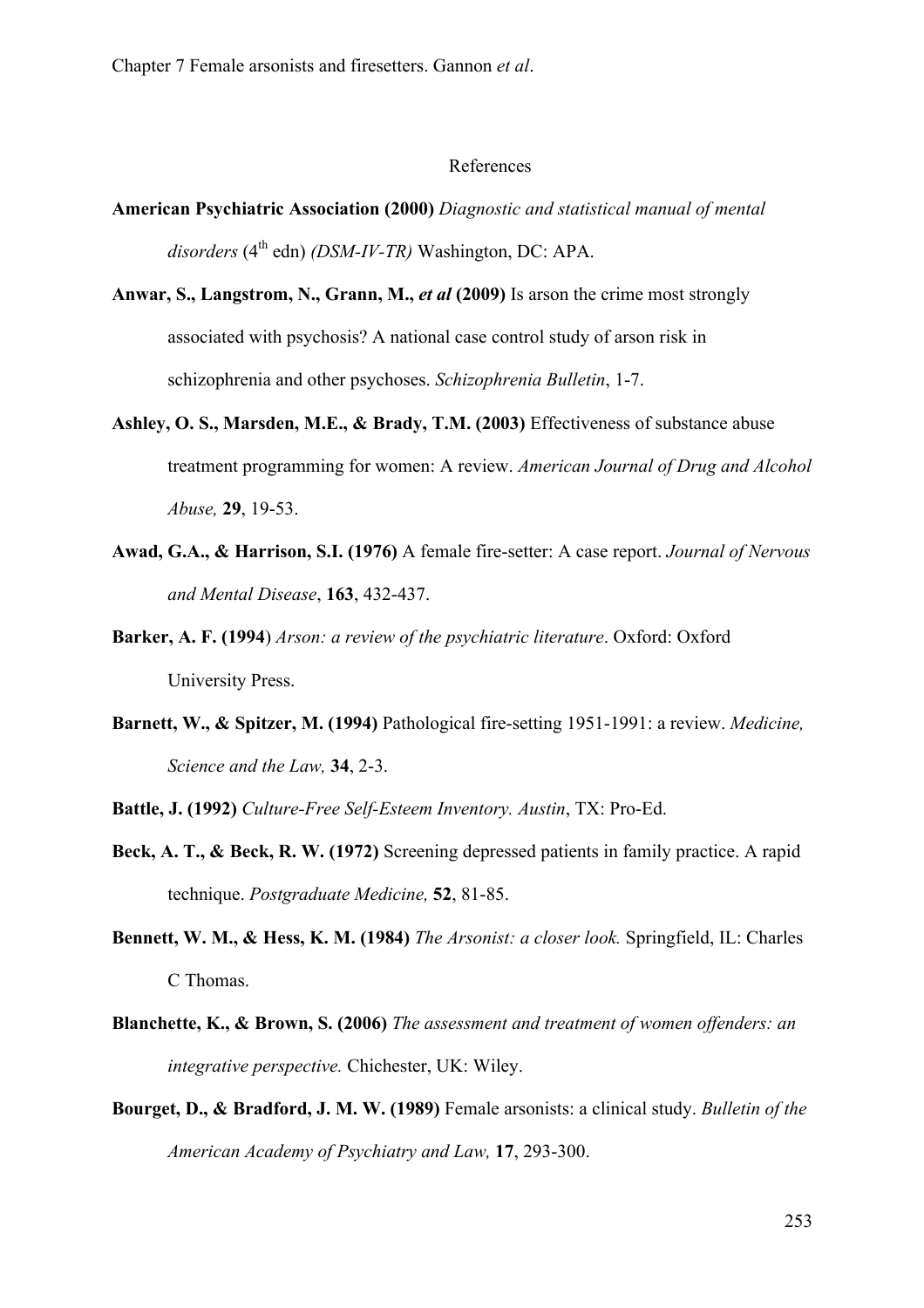#### References

- **American Psychiatric Association (2000)** *Diagnostic and statistical manual of mental*  disorders (4<sup>th</sup> edn) *(DSM-IV-TR)* Washington, DC: APA.
- **Anwar, S., Langstrom, N., Grann, M.,** *et al* **(2009)** Is arson the crime most strongly associated with psychosis? A national case control study of arson risk in schizophrenia and other psychoses. *Schizophrenia Bulletin*, 1-7.
- **Ashley, O. S., Marsden, M.E., & Brady, T.M. (2003)** Effectiveness of substance abuse treatment programming for women: A review. *American Journal of Drug and Alcohol Abuse,* **29**, 19-53.
- **Awad, G.A., & Harrison, S.I. (1976)** A female fire-setter: A case report. *Journal of Nervous and Mental Disease*, **163**, 432-437.
- **Barker, A. F. (1994**) *Arson: a review of the psychiatric literature*. Oxford: Oxford University Press.
- **Barnett, W., & Spitzer, M. (1994)** Pathological fire-setting 1951-1991: a review. *Medicine, Science and the Law,* **34**, 2-3.
- **Battle, J. (1992)** *Culture-Free Self-Esteem Inventory. Austin*, TX: Pro-Ed.
- **Beck, A. T., & Beck, R. W. (1972)** Screening depressed patients in family practice. A rapid technique. *Postgraduate Medicine,* **52**, 81-85.
- **Bennett, W. M., & Hess, K. M. (1984)** *The Arsonist: a closer look.* Springfield, IL: Charles C Thomas.
- **Blanchette, K., & Brown, S. (2006)** *The assessment and treatment of women offenders: an integrative perspective.* Chichester, UK: Wiley.
- **Bourget, D., & Bradford, J. M. W. (1989)** Female arsonists: a clinical study. *Bulletin of the American Academy of Psychiatry and Law,* **17**, 293-300.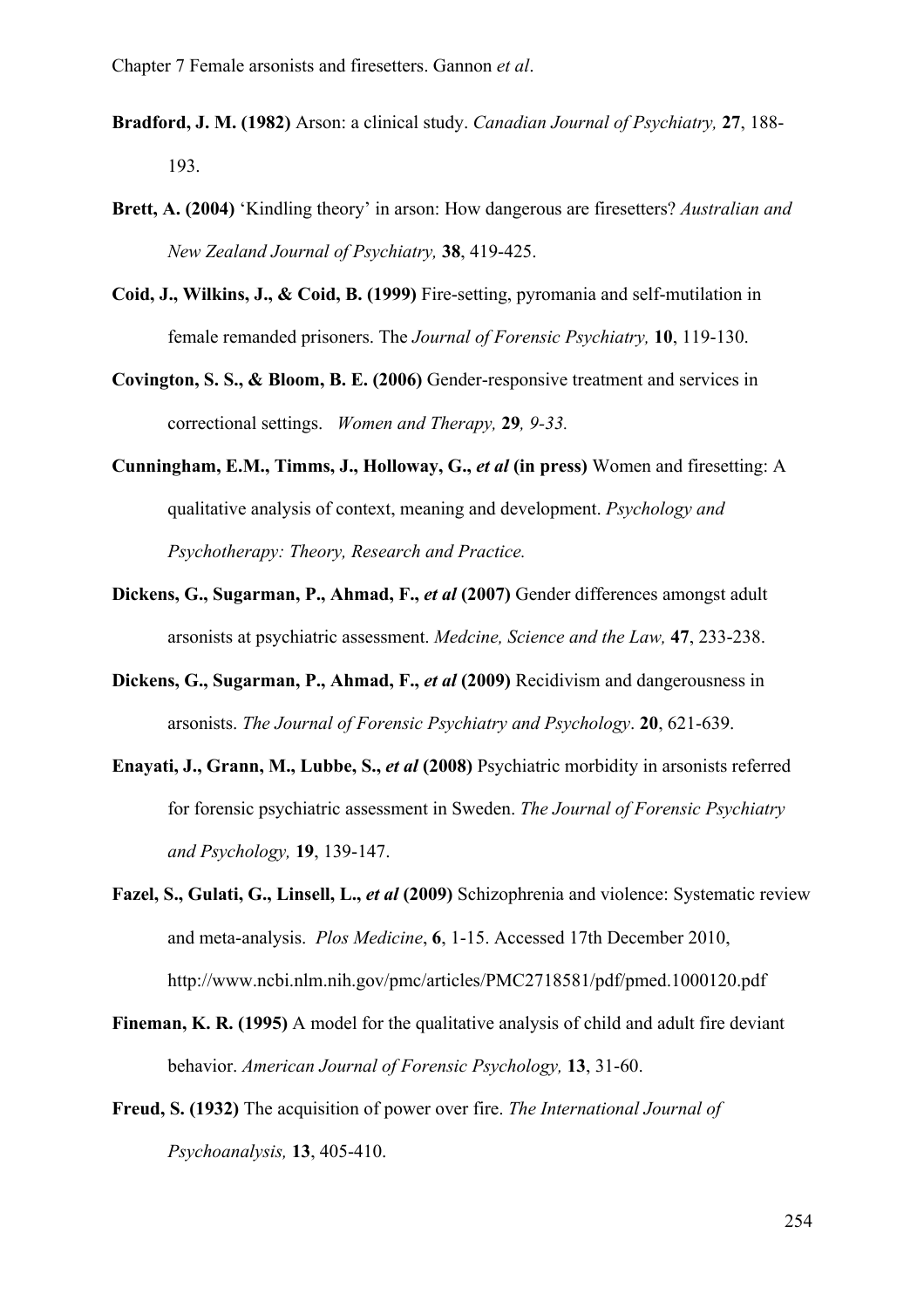- **Bradford, J. M. (1982)** Arson: a clinical study. *Canadian Journal of Psychiatry,* **27**, 188- 193.
- **Brett, A. (2004)** 'Kindling theory' in arson: How dangerous are firesetters? *Australian and New Zealand Journal of Psychiatry,* **38**, 419-425.
- **Coid, J., Wilkins, J., & Coid, B. (1999)** Fire-setting, pyromania and self-mutilation in female remanded prisoners. The *Journal of Forensic Psychiatry,* **10**, 119-130.
- **Covington, S. S., & Bloom, B. E. (2006)** Gender-responsive treatment and services in correctional settings. *Women and Therapy,* **29***, 9-33.*
- **Cunningham, E.M., Timms, J., Holloway, G.,** *et al* **(in press)** Women and firesetting: A qualitative analysis of context, meaning and development. *Psychology and Psychotherapy: Theory, Research and Practice.*
- **Dickens, G., Sugarman, P., Ahmad, F.,** *et al* **(2007)** Gender differences amongst adult arsonists at psychiatric assessment. *Medcine, Science and the Law,* **47**, 233-238.
- **Dickens, G., Sugarman, P., Ahmad, F.,** *et al* **(2009)** Recidivism and dangerousness in arsonists. *The Journal of Forensic Psychiatry and Psychology*. **20**, 621-639.
- **Enayati, J., Grann, M., Lubbe, S.,** *et al* **(2008)** Psychiatric morbidity in arsonists referred for forensic psychiatric assessment in Sweden. *The Journal of Forensic Psychiatry and Psychology,* **19**, 139-147.
- **Fazel, S., Gulati, G., Linsell, L.,** *et al* **(2009)** Schizophrenia and violence: Systematic review and meta-analysis. *Plos Medicine*, **6**, 1-15. Accessed 17th December 2010, http://www.ncbi.nlm.nih.gov/pmc/articles/PMC2718581/pdf/pmed.1000120.pdf
- **Fineman, K. R. (1995)** A model for the qualitative analysis of child and adult fire deviant behavior. *American Journal of Forensic Psychology,* **13**, 31-60.
- **Freud, S. (1932)** The acquisition of power over fire. *The International Journal of Psychoanalysis,* **13**, 405-410.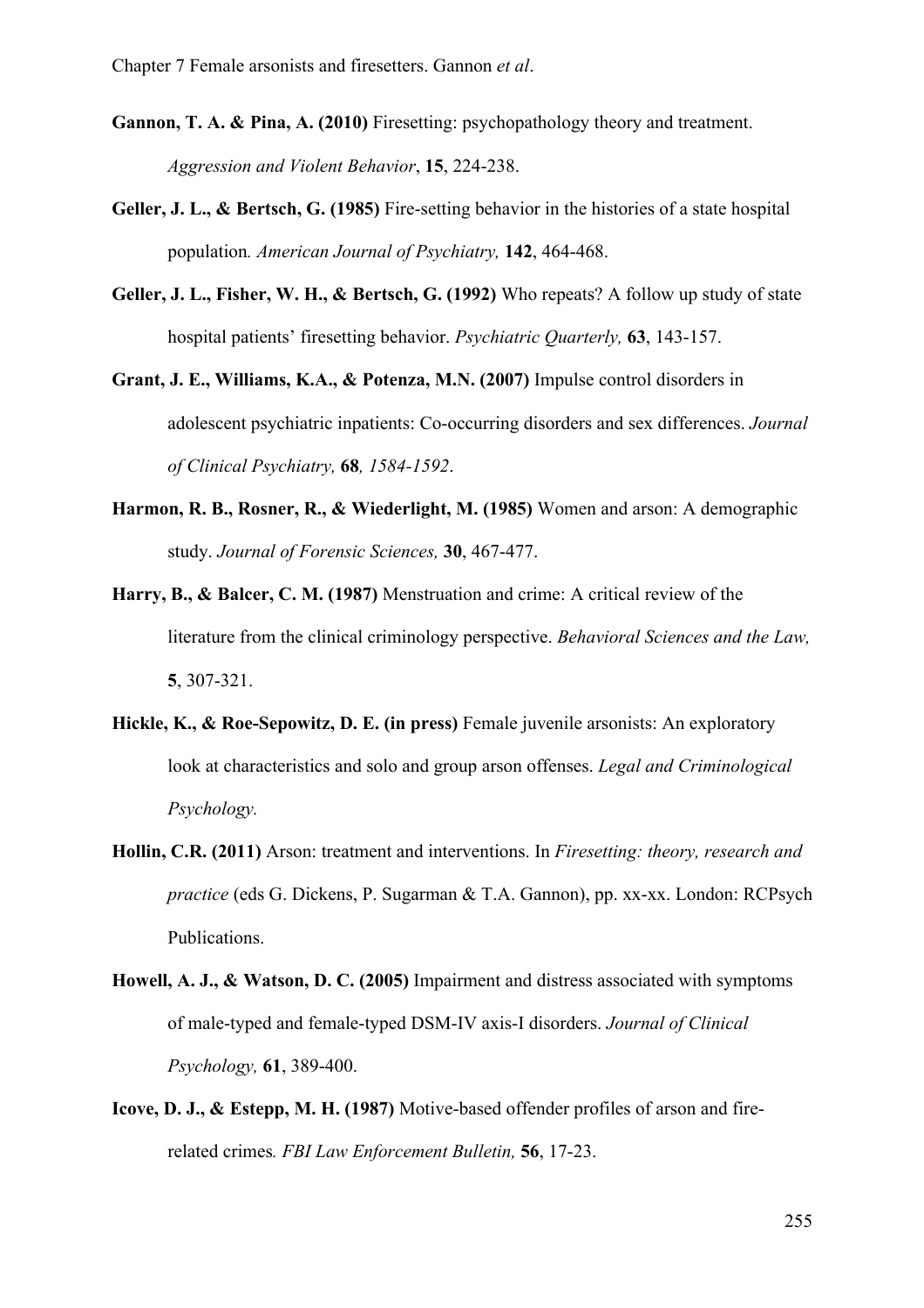- **Gannon, T. A. & Pina, A. (2010)** Firesetting: psychopathology theory and treatment. *Aggression and Violent Behavior*, **15**, 224-238.
- **Geller, J. L., & Bertsch, G. (1985)** Fire-setting behavior in the histories of a state hospital population*. American Journal of Psychiatry,* **142**, 464-468.
- **Geller, J. L., Fisher, W. H., & Bertsch, G. (1992)** Who repeats? A follow up study of state hospital patients' firesetting behavior. *Psychiatric Quarterly,* **63**, 143-157.
- **Grant, J. E., Williams, K.A., & Potenza, M.N. (2007)** Impulse control disorders in adolescent psychiatric inpatients: Co-occurring disorders and sex differences. *Journal of Clinical Psychiatry,* **68***, 1584-1592*.
- **Harmon, R. B., Rosner, R., & Wiederlight, M. (1985)** Women and arson: A demographic study. *Journal of Forensic Sciences,* **30**, 467-477.
- **Harry, B., & Balcer, C. M. (1987)** Menstruation and crime: A critical review of the literature from the clinical criminology perspective. *Behavioral Sciences and the Law,*  **5**, 307-321.
- **Hickle, K., & Roe-Sepowitz, D. E. (in press)** Female juvenile arsonists: An exploratory look at characteristics and solo and group arson offenses. *Legal and Criminological Psychology.*
- **Hollin, C.R. (2011)** Arson: treatment and interventions. In *Firesetting: theory, research and practice* (eds G. Dickens, P. Sugarman & T.A. Gannon), pp. xx-xx. London: RCPsych Publications.
- **Howell, A. J., & Watson, D. C. (2005)** Impairment and distress associated with symptoms of male-typed and female-typed DSM-IV axis-I disorders. *Journal of Clinical Psychology,* **61**, 389-400.
- **Icove, D. J., & Estepp, M. H. (1987)** Motive-based offender profiles of arson and firerelated crimes*. FBI Law Enforcement Bulletin,* **56**, 17-23.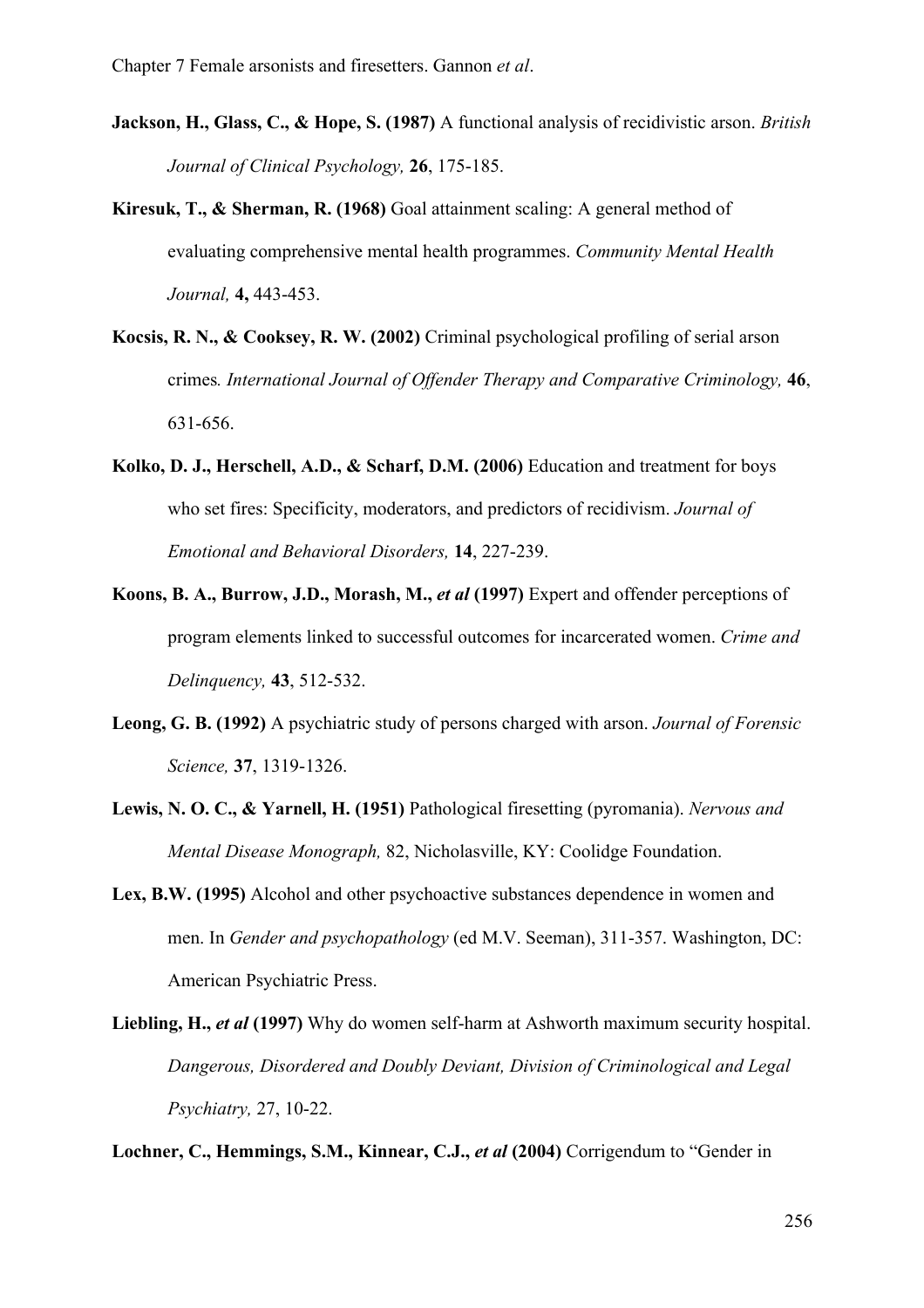- **Jackson, H., Glass, C., & Hope, S. (1987)** A functional analysis of recidivistic arson. *British Journal of Clinical Psychology,* **26**, 175-185.
- **Kiresuk, T., & Sherman, R. (1968)** Goal attainment scaling: A general method of evaluating comprehensive mental health programmes. *Community Mental Health Journal,* **4,** 443-453.
- **Kocsis, R. N., & Cooksey, R. W. (2002)** Criminal psychological profiling of serial arson crimes*. International Journal of Offender Therapy and Comparative Criminology,* **46**, 631-656.
- **Kolko, D. J., Herschell, A.D., & Scharf, D.M. (2006)** Education and treatment for boys who set fires: Specificity, moderators, and predictors of recidivism. *Journal of Emotional and Behavioral Disorders,* **14**, 227-239.
- **Koons, B. A., Burrow, J.D., Morash, M.,** *et al* **(1997)** Expert and offender perceptions of program elements linked to successful outcomes for incarcerated women. *Crime and Delinquency,* **43**, 512-532.
- **Leong, G. B. (1992)** A psychiatric study of persons charged with arson. *Journal of Forensic Science,* **37**, 1319-1326.
- **Lewis, N. O. C., & Yarnell, H. (1951)** Pathological firesetting (pyromania). *Nervous and Mental Disease Monograph,* 82, Nicholasville, KY: Coolidge Foundation.
- **Lex, B.W. (1995)** Alcohol and other psychoactive substances dependence in women and men. In *Gender and psychopathology* (ed M.V. Seeman), 311-357. Washington, DC: American Psychiatric Press.
- **Liebling, H.,** *et al* **(1997)** Why do women self-harm at Ashworth maximum security hospital. *Dangerous, Disordered and Doubly Deviant, Division of Criminological and Legal Psychiatry,* 27, 10-22.

**Lochner, C., Hemmings, S.M., Kinnear, C.J.,** *et al* **(2004)** Corrigendum to "Gender in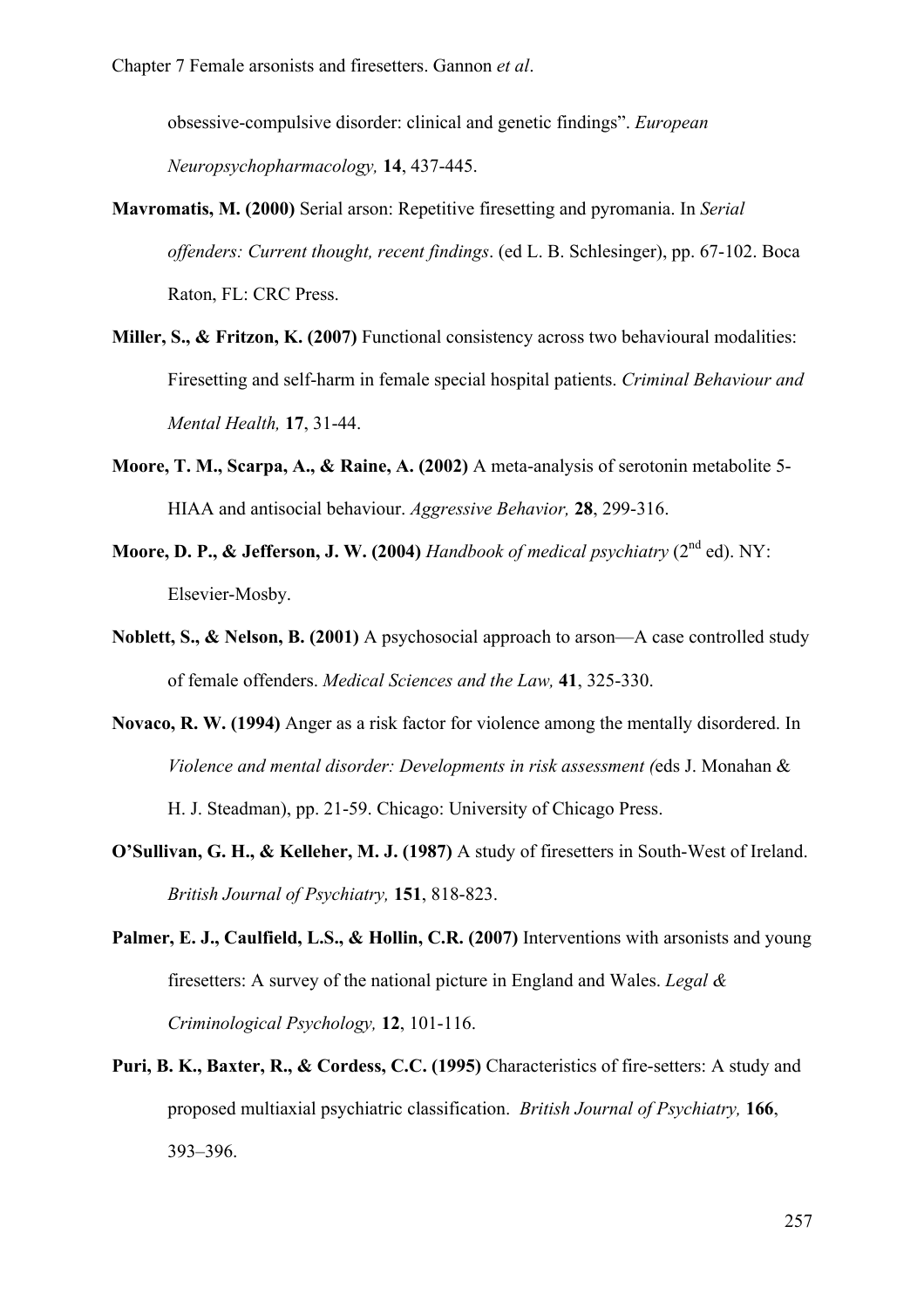obsessive-compulsive disorder: clinical and genetic findings". *European Neuropsychopharmacology,* **14**, 437-445.

- **Mavromatis, M. (2000)** Serial arson: Repetitive firesetting and pyromania. In *Serial offenders: Current thought, recent findings*. (ed L. B. Schlesinger), pp. 67-102. Boca Raton, FL: CRC Press.
- **Miller, S., & Fritzon, K. (2007)** Functional consistency across two behavioural modalities: Firesetting and self-harm in female special hospital patients. *Criminal Behaviour and Mental Health,* **17**, 31-44.
- **Moore, T. M., Scarpa, A., & Raine, A. (2002)** A meta-analysis of serotonin metabolite 5- HIAA and antisocial behaviour. *Aggressive Behavior,* **28**, 299-316.
- **Moore, D. P., & Jefferson, J. W. (2004)** *Handbook of medical psychiatry* (2<sup>nd</sup> ed). NY: Elsevier-Mosby.
- **Noblett, S., & Nelson, B. (2001)** A psychosocial approach to arson—A case controlled study of female offenders. *Medical Sciences and the Law,* **41**, 325-330.
- **Novaco, R. W. (1994)** Anger as a risk factor for violence among the mentally disordered. In *Violence and mental disorder: Developments in risk assessment (*eds J. Monahan &

H. J. Steadman), pp. 21-59. Chicago: University of Chicago Press.

- **O'Sullivan, G. H., & Kelleher, M. J. (1987)** A study of firesetters in South-West of Ireland. *British Journal of Psychiatry,* **151**, 818-823.
- **Palmer, E. J., Caulfield, L.S., & Hollin, C.R. (2007)** Interventions with arsonists and young firesetters: A survey of the national picture in England and Wales. *Legal & Criminological Psychology,* **12**, 101-116.
- **Puri, B. K., Baxter, R., & Cordess, C.C. (1995)** Characteristics of fire-setters: A study and proposed multiaxial psychiatric classification. *British Journal of Psychiatry,* **166**, 393–396.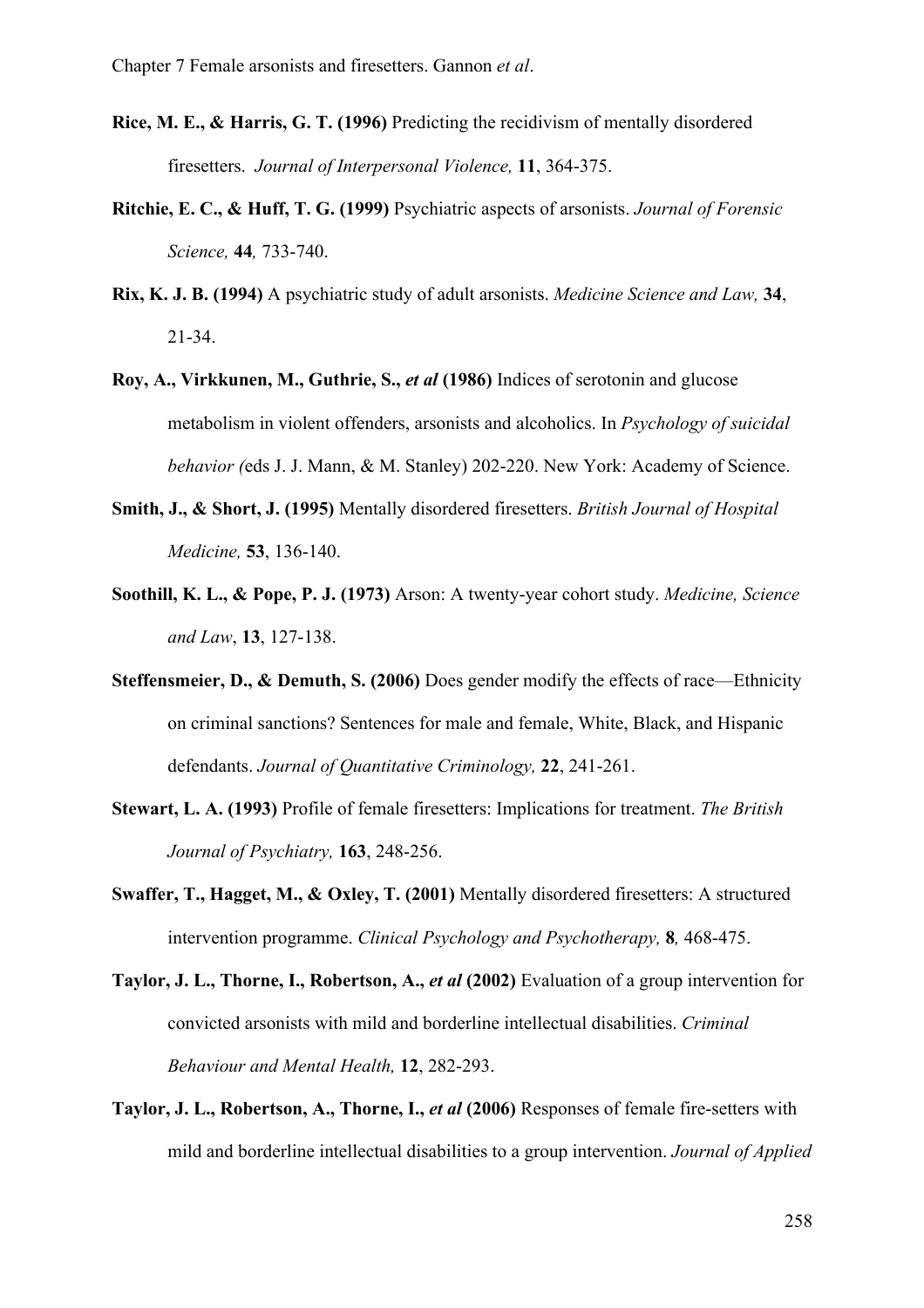- **Rice, M. E., & Harris, G. T. (1996)** Predicting the recidivism of mentally disordered firesetters. *Journal of Interpersonal Violence,* **11**, 364-375.
- **Ritchie, E. C., & Huff, T. G. (1999)** Psychiatric aspects of arsonists. *Journal of Forensic Science,* **44***,* 733-740.
- **Rix, K. J. B. (1994)** A psychiatric study of adult arsonists. *Medicine Science and Law,* **34**, 21-34.
- **Roy, A., Virkkunen, M., Guthrie, S.,** *et al* **(1986)** Indices of serotonin and glucose metabolism in violent offenders, arsonists and alcoholics. In *Psychology of suicidal behavior (*eds J. J. Mann, & M. Stanley) 202-220. New York: Academy of Science.
- **Smith, J., & Short, J. (1995)** Mentally disordered firesetters. *British Journal of Hospital Medicine,* **53**, 136-140.
- **Soothill, K. L., & Pope, P. J. (1973)** Arson: A twenty-year cohort study. *Medicine, Science and Law*, **13**, 127-138.
- **Steffensmeier, D., & Demuth, S. (2006)** Does gender modify the effects of race—Ethnicity on criminal sanctions? Sentences for male and female, White, Black, and Hispanic defendants. *Journal of Quantitative Criminology,* **22**, 241-261.
- **Stewart, L. A. (1993)** Profile of female firesetters: Implications for treatment. *The British Journal of Psychiatry,* **163**, 248-256.
- **Swaffer, T., Hagget, M., & Oxley, T. (2001)** Mentally disordered firesetters: A structured intervention programme. *Clinical Psychology and Psychotherapy,* **8***,* 468-475.
- **Taylor, J. L., Thorne, I., Robertson, A.,** *et al* **(2002)** Evaluation of a group intervention for convicted arsonists with mild and borderline intellectual disabilities. *Criminal Behaviour and Mental Health,* **12**, 282-293.
- **Taylor, J. L., Robertson, A., Thorne, I.,** *et al* **(2006)** Responses of female fire-setters with mild and borderline intellectual disabilities to a group intervention. *Journal of Applied*